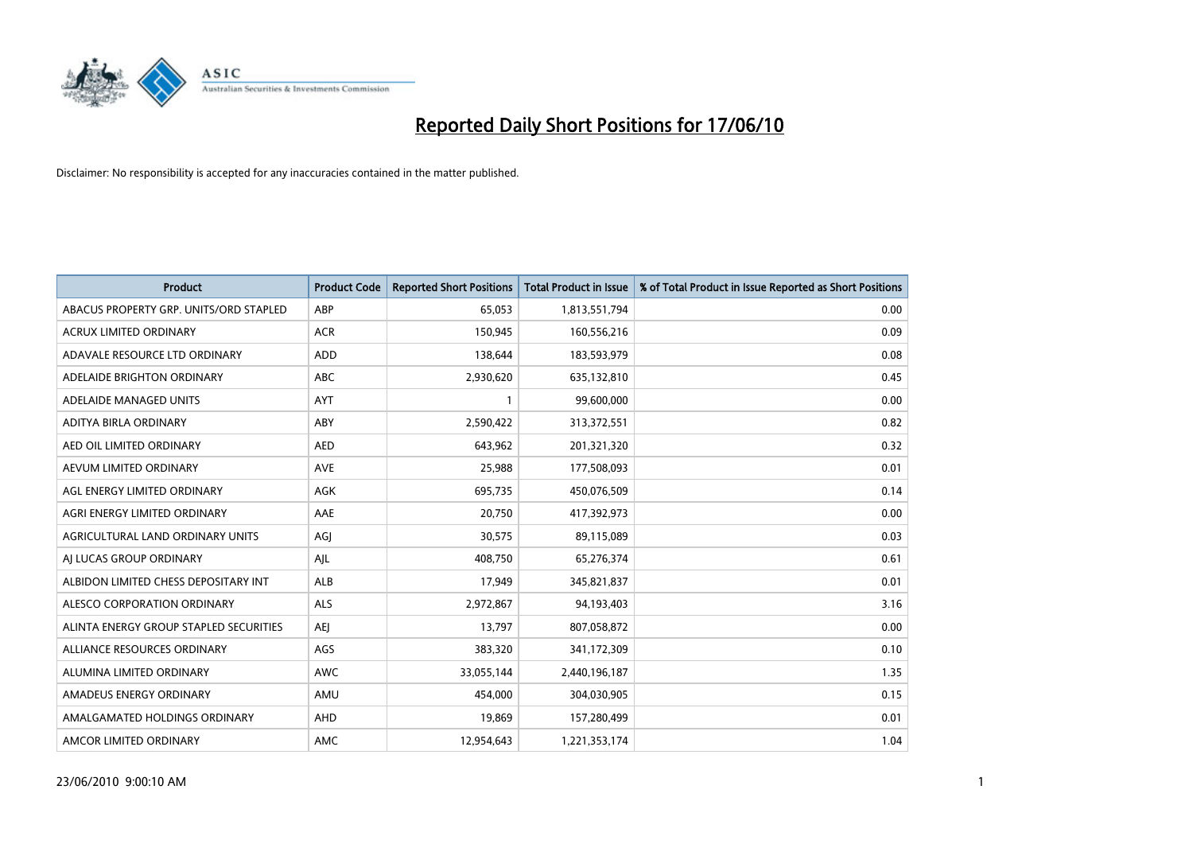

| <b>Product</b>                         | <b>Product Code</b> | <b>Reported Short Positions</b> | <b>Total Product in Issue</b> | % of Total Product in Issue Reported as Short Positions |
|----------------------------------------|---------------------|---------------------------------|-------------------------------|---------------------------------------------------------|
| ABACUS PROPERTY GRP. UNITS/ORD STAPLED | ABP                 | 65,053                          | 1,813,551,794                 | 0.00                                                    |
| ACRUX LIMITED ORDINARY                 | <b>ACR</b>          | 150,945                         | 160,556,216                   | 0.09                                                    |
| ADAVALE RESOURCE LTD ORDINARY          | <b>ADD</b>          | 138,644                         | 183,593,979                   | 0.08                                                    |
| ADELAIDE BRIGHTON ORDINARY             | ABC                 | 2,930,620                       | 635,132,810                   | 0.45                                                    |
| ADELAIDE MANAGED UNITS                 | AYT                 |                                 | 99,600,000                    | 0.00                                                    |
| ADITYA BIRLA ORDINARY                  | ABY                 | 2,590,422                       | 313,372,551                   | 0.82                                                    |
| AED OIL LIMITED ORDINARY               | <b>AED</b>          | 643.962                         | 201,321,320                   | 0.32                                                    |
| AEVUM LIMITED ORDINARY                 | <b>AVE</b>          | 25,988                          | 177,508,093                   | 0.01                                                    |
| AGL ENERGY LIMITED ORDINARY            | AGK                 | 695,735                         | 450,076,509                   | 0.14                                                    |
| AGRI ENERGY LIMITED ORDINARY           | AAE                 | 20,750                          | 417,392,973                   | 0.00                                                    |
| AGRICULTURAL LAND ORDINARY UNITS       | AGJ                 | 30,575                          | 89,115,089                    | 0.03                                                    |
| AI LUCAS GROUP ORDINARY                | AJL                 | 408,750                         | 65,276,374                    | 0.61                                                    |
| ALBIDON LIMITED CHESS DEPOSITARY INT   | ALB                 | 17,949                          | 345,821,837                   | 0.01                                                    |
| ALESCO CORPORATION ORDINARY            | <b>ALS</b>          | 2,972,867                       | 94,193,403                    | 3.16                                                    |
| ALINTA ENERGY GROUP STAPLED SECURITIES | <b>AEI</b>          | 13,797                          | 807,058,872                   | 0.00                                                    |
| ALLIANCE RESOURCES ORDINARY            | AGS                 | 383,320                         | 341,172,309                   | 0.10                                                    |
| ALUMINA LIMITED ORDINARY               | <b>AWC</b>          | 33,055,144                      | 2,440,196,187                 | 1.35                                                    |
| AMADEUS ENERGY ORDINARY                | AMU                 | 454.000                         | 304,030,905                   | 0.15                                                    |
| AMALGAMATED HOLDINGS ORDINARY          | AHD                 | 19,869                          | 157,280,499                   | 0.01                                                    |
| AMCOR LIMITED ORDINARY                 | <b>AMC</b>          | 12.954.643                      | 1,221,353,174                 | 1.04                                                    |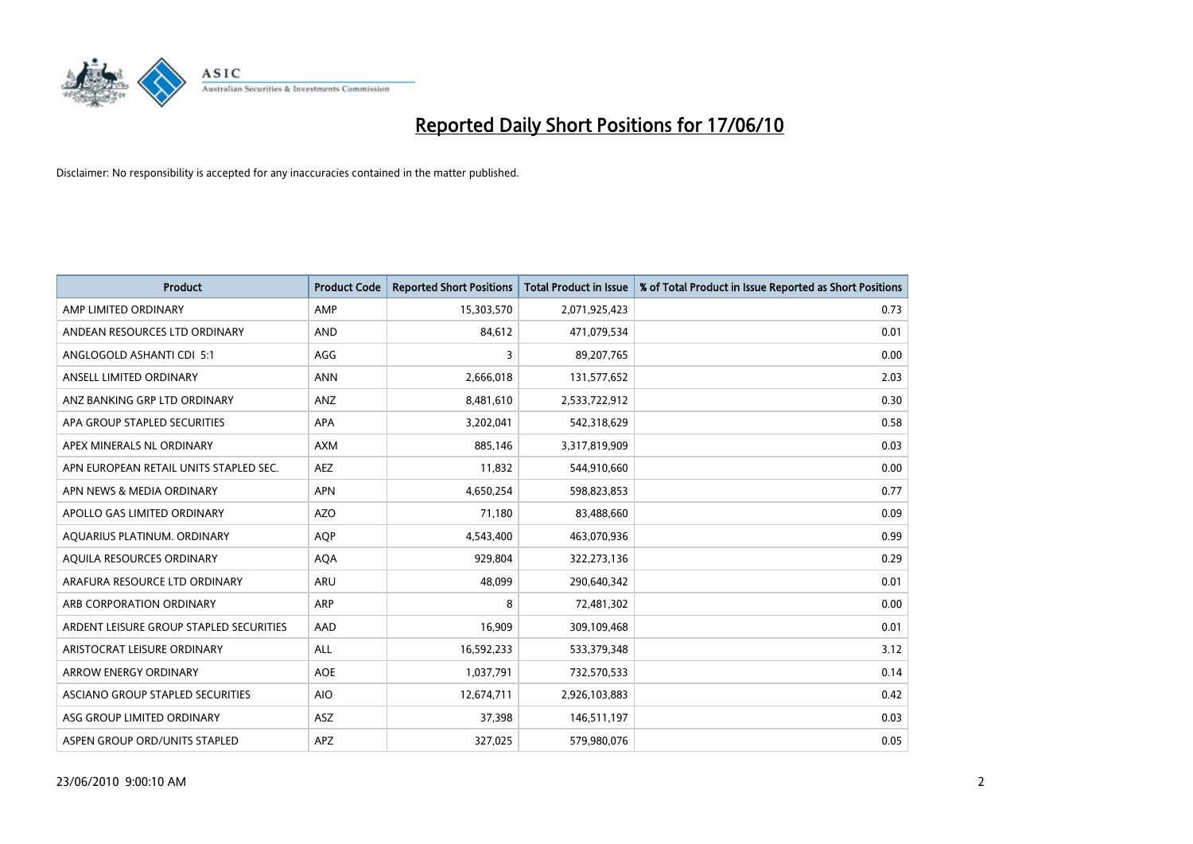

| <b>Product</b>                          | <b>Product Code</b> | <b>Reported Short Positions</b> | <b>Total Product in Issue</b> | % of Total Product in Issue Reported as Short Positions |
|-----------------------------------------|---------------------|---------------------------------|-------------------------------|---------------------------------------------------------|
| AMP LIMITED ORDINARY                    | AMP                 | 15,303,570                      | 2,071,925,423                 | 0.73                                                    |
| ANDEAN RESOURCES LTD ORDINARY           | <b>AND</b>          | 84,612                          | 471,079,534                   | 0.01                                                    |
| ANGLOGOLD ASHANTI CDI 5:1               | AGG                 | 3                               | 89,207,765                    | 0.00                                                    |
| ANSELL LIMITED ORDINARY                 | <b>ANN</b>          | 2,666,018                       | 131,577,652                   | 2.03                                                    |
| ANZ BANKING GRP LTD ORDINARY            | ANZ                 | 8,481,610                       | 2,533,722,912                 | 0.30                                                    |
| APA GROUP STAPLED SECURITIES            | <b>APA</b>          | 3,202,041                       | 542,318,629                   | 0.58                                                    |
| APEX MINERALS NL ORDINARY               | <b>AXM</b>          | 885.146                         | 3,317,819,909                 | 0.03                                                    |
| APN EUROPEAN RETAIL UNITS STAPLED SEC.  | <b>AEZ</b>          | 11,832                          | 544,910,660                   | 0.00                                                    |
| APN NEWS & MEDIA ORDINARY               | <b>APN</b>          | 4,650,254                       | 598,823,853                   | 0.77                                                    |
| APOLLO GAS LIMITED ORDINARY             | <b>AZO</b>          | 71.180                          | 83,488,660                    | 0.09                                                    |
| AQUARIUS PLATINUM. ORDINARY             | <b>AOP</b>          | 4,543,400                       | 463,070,936                   | 0.99                                                    |
| AQUILA RESOURCES ORDINARY               | <b>AQA</b>          | 929,804                         | 322,273,136                   | 0.29                                                    |
| ARAFURA RESOURCE LTD ORDINARY           | <b>ARU</b>          | 48.099                          | 290,640,342                   | 0.01                                                    |
| ARB CORPORATION ORDINARY                | <b>ARP</b>          | 8                               | 72,481,302                    | 0.00                                                    |
| ARDENT LEISURE GROUP STAPLED SECURITIES | AAD                 | 16,909                          | 309,109,468                   | 0.01                                                    |
| ARISTOCRAT LEISURE ORDINARY             | <b>ALL</b>          | 16,592,233                      | 533,379,348                   | 3.12                                                    |
| <b>ARROW ENERGY ORDINARY</b>            | <b>AOE</b>          | 1,037,791                       | 732,570,533                   | 0.14                                                    |
| ASCIANO GROUP STAPLED SECURITIES        | <b>AIO</b>          | 12,674,711                      | 2,926,103,883                 | 0.42                                                    |
| ASG GROUP LIMITED ORDINARY              | <b>ASZ</b>          | 37,398                          | 146,511,197                   | 0.03                                                    |
| ASPEN GROUP ORD/UNITS STAPLED           | <b>APZ</b>          | 327.025                         | 579,980,076                   | 0.05                                                    |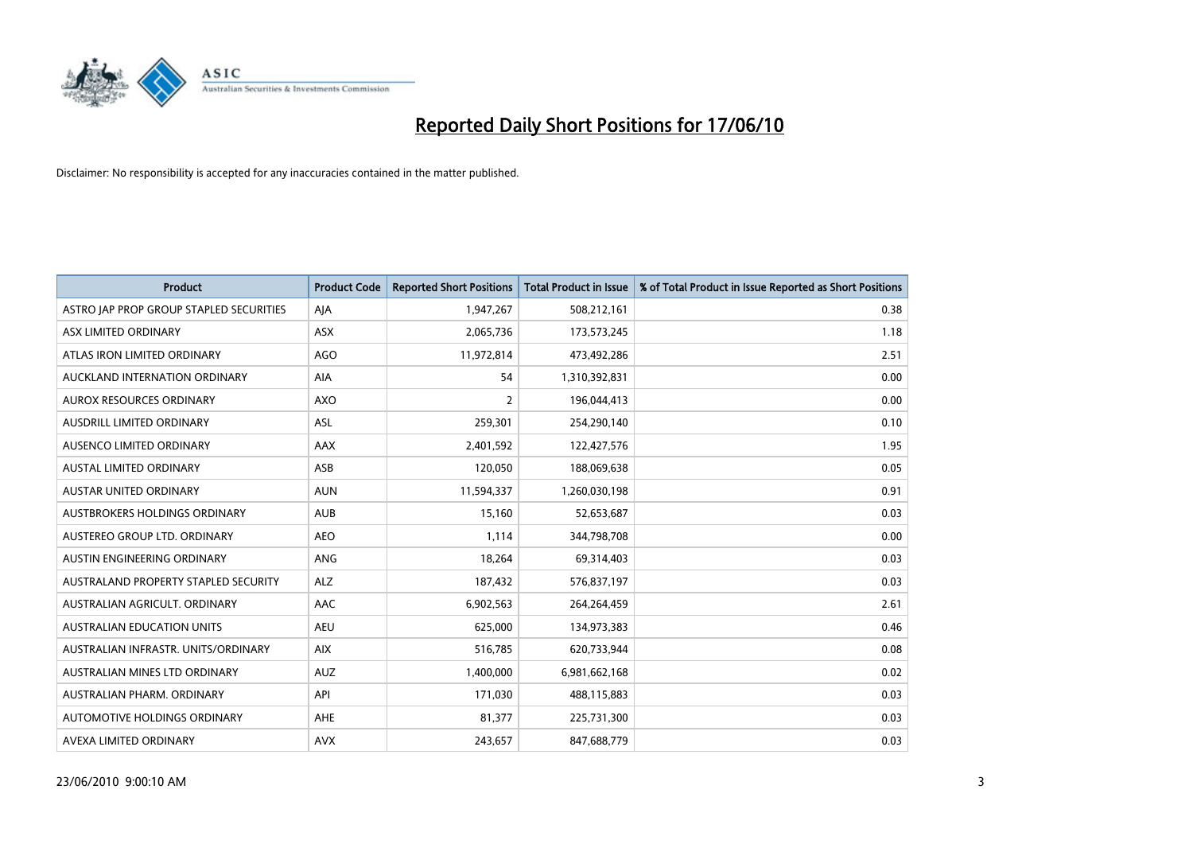

| <b>Product</b>                          | <b>Product Code</b> | <b>Reported Short Positions</b> | <b>Total Product in Issue</b> | % of Total Product in Issue Reported as Short Positions |
|-----------------------------------------|---------------------|---------------------------------|-------------------------------|---------------------------------------------------------|
| ASTRO JAP PROP GROUP STAPLED SECURITIES | AJA                 | 1,947,267                       | 508,212,161                   | 0.38                                                    |
| ASX LIMITED ORDINARY                    | <b>ASX</b>          | 2,065,736                       | 173,573,245                   | 1.18                                                    |
| ATLAS IRON LIMITED ORDINARY             | <b>AGO</b>          | 11,972,814                      | 473,492,286                   | 2.51                                                    |
| AUCKLAND INTERNATION ORDINARY           | AIA                 | 54                              | 1,310,392,831                 | 0.00                                                    |
| <b>AUROX RESOURCES ORDINARY</b>         | AXO                 | $\overline{2}$                  | 196,044,413                   | 0.00                                                    |
| <b>AUSDRILL LIMITED ORDINARY</b>        | <b>ASL</b>          | 259,301                         | 254,290,140                   | 0.10                                                    |
| AUSENCO LIMITED ORDINARY                | <b>AAX</b>          | 2,401,592                       | 122,427,576                   | 1.95                                                    |
| AUSTAL LIMITED ORDINARY                 | ASB                 | 120,050                         | 188,069,638                   | 0.05                                                    |
| <b>AUSTAR UNITED ORDINARY</b>           | <b>AUN</b>          | 11,594,337                      | 1,260,030,198                 | 0.91                                                    |
| <b>AUSTBROKERS HOLDINGS ORDINARY</b>    | <b>AUB</b>          | 15,160                          | 52,653,687                    | 0.03                                                    |
| AUSTEREO GROUP LTD. ORDINARY            | <b>AEO</b>          | 1,114                           | 344,798,708                   | 0.00                                                    |
| AUSTIN ENGINEERING ORDINARY             | ANG                 | 18,264                          | 69,314,403                    | 0.03                                                    |
| AUSTRALAND PROPERTY STAPLED SECURITY    | <b>ALZ</b>          | 187,432                         | 576,837,197                   | 0.03                                                    |
| AUSTRALIAN AGRICULT. ORDINARY           | AAC                 | 6,902,563                       | 264,264,459                   | 2.61                                                    |
| <b>AUSTRALIAN EDUCATION UNITS</b>       | <b>AEU</b>          | 625,000                         | 134,973,383                   | 0.46                                                    |
| AUSTRALIAN INFRASTR, UNITS/ORDINARY     | <b>AIX</b>          | 516,785                         | 620,733,944                   | 0.08                                                    |
| AUSTRALIAN MINES LTD ORDINARY           | <b>AUZ</b>          | 1,400,000                       | 6,981,662,168                 | 0.02                                                    |
| AUSTRALIAN PHARM. ORDINARY              | API                 | 171,030                         | 488,115,883                   | 0.03                                                    |
| AUTOMOTIVE HOLDINGS ORDINARY            | AHE                 | 81,377                          | 225,731,300                   | 0.03                                                    |
| AVEXA LIMITED ORDINARY                  | <b>AVX</b>          | 243,657                         | 847,688,779                   | 0.03                                                    |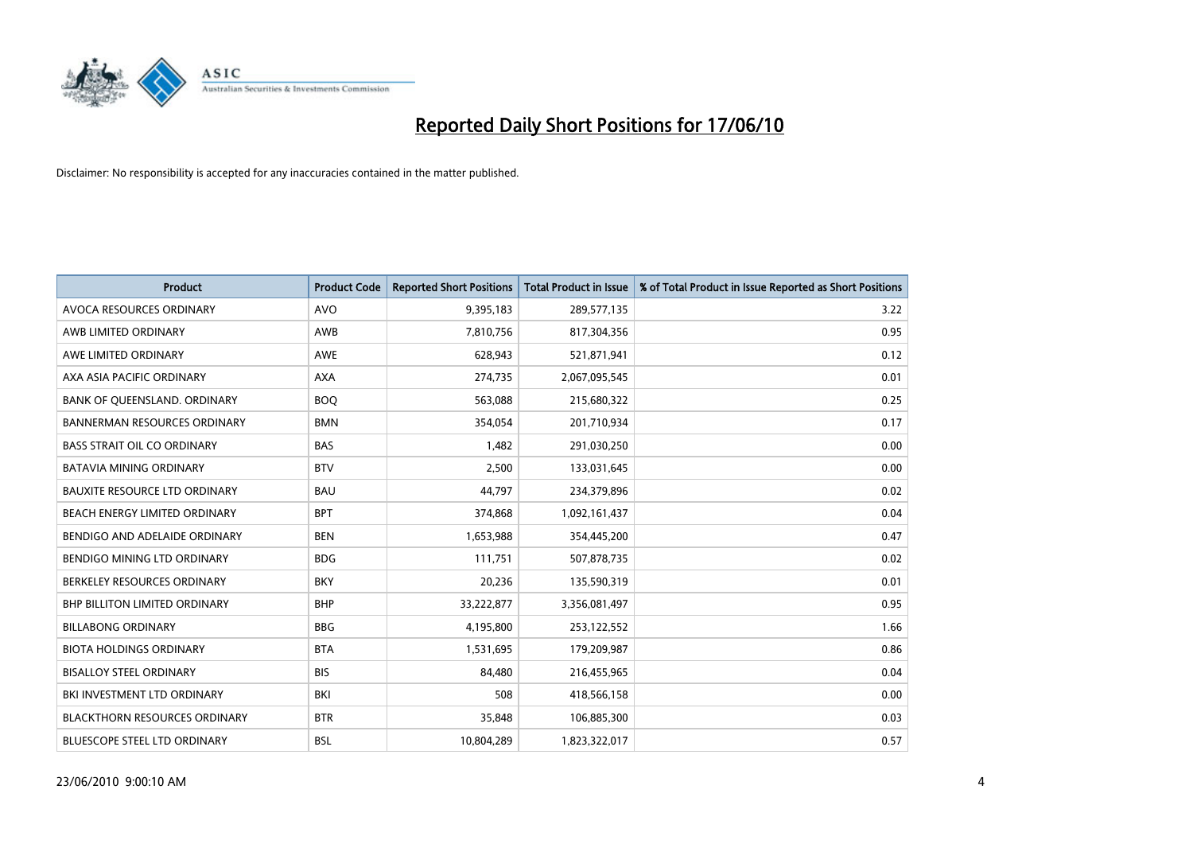

| <b>Product</b>                       | <b>Product Code</b> | <b>Reported Short Positions</b> | <b>Total Product in Issue</b> | % of Total Product in Issue Reported as Short Positions |
|--------------------------------------|---------------------|---------------------------------|-------------------------------|---------------------------------------------------------|
| AVOCA RESOURCES ORDINARY             | <b>AVO</b>          | 9,395,183                       | 289,577,135                   | 3.22                                                    |
| AWB LIMITED ORDINARY                 | <b>AWB</b>          | 7,810,756                       | 817,304,356                   | 0.95                                                    |
| AWE LIMITED ORDINARY                 | <b>AWE</b>          | 628,943                         | 521,871,941                   | 0.12                                                    |
| AXA ASIA PACIFIC ORDINARY            | <b>AXA</b>          | 274,735                         | 2,067,095,545                 | 0.01                                                    |
| BANK OF QUEENSLAND. ORDINARY         | <b>BOQ</b>          | 563,088                         | 215,680,322                   | 0.25                                                    |
| <b>BANNERMAN RESOURCES ORDINARY</b>  | <b>BMN</b>          | 354,054                         | 201,710,934                   | 0.17                                                    |
| <b>BASS STRAIT OIL CO ORDINARY</b>   | <b>BAS</b>          | 1,482                           | 291,030,250                   | 0.00                                                    |
| <b>BATAVIA MINING ORDINARY</b>       | <b>BTV</b>          | 2,500                           | 133,031,645                   | 0.00                                                    |
| <b>BAUXITE RESOURCE LTD ORDINARY</b> | <b>BAU</b>          | 44,797                          | 234,379,896                   | 0.02                                                    |
| BEACH ENERGY LIMITED ORDINARY        | <b>BPT</b>          | 374,868                         | 1,092,161,437                 | 0.04                                                    |
| BENDIGO AND ADELAIDE ORDINARY        | <b>BEN</b>          | 1,653,988                       | 354,445,200                   | 0.47                                                    |
| BENDIGO MINING LTD ORDINARY          | <b>BDG</b>          | 111,751                         | 507,878,735                   | 0.02                                                    |
| BERKELEY RESOURCES ORDINARY          | <b>BKY</b>          | 20,236                          | 135,590,319                   | 0.01                                                    |
| <b>BHP BILLITON LIMITED ORDINARY</b> | <b>BHP</b>          | 33,222,877                      | 3,356,081,497                 | 0.95                                                    |
| <b>BILLABONG ORDINARY</b>            | <b>BBG</b>          | 4,195,800                       | 253,122,552                   | 1.66                                                    |
| <b>BIOTA HOLDINGS ORDINARY</b>       | <b>BTA</b>          | 1,531,695                       | 179,209,987                   | 0.86                                                    |
| <b>BISALLOY STEEL ORDINARY</b>       | <b>BIS</b>          | 84.480                          | 216,455,965                   | 0.04                                                    |
| BKI INVESTMENT LTD ORDINARY          | BKI                 | 508                             | 418,566,158                   | 0.00                                                    |
| <b>BLACKTHORN RESOURCES ORDINARY</b> | <b>BTR</b>          | 35,848                          | 106,885,300                   | 0.03                                                    |
| <b>BLUESCOPE STEEL LTD ORDINARY</b>  | <b>BSL</b>          | 10,804,289                      | 1,823,322,017                 | 0.57                                                    |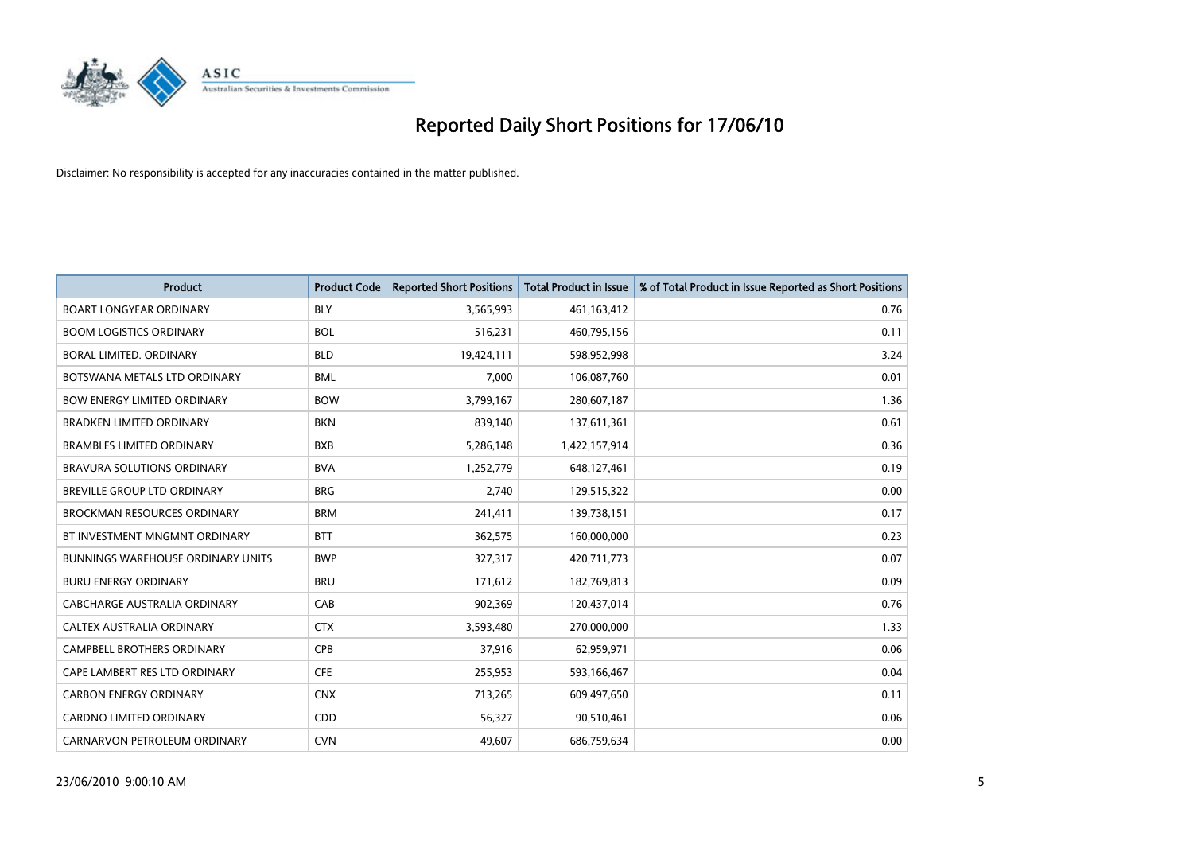

| <b>Product</b>                           | <b>Product Code</b> | <b>Reported Short Positions</b> | <b>Total Product in Issue</b> | % of Total Product in Issue Reported as Short Positions |
|------------------------------------------|---------------------|---------------------------------|-------------------------------|---------------------------------------------------------|
| <b>BOART LONGYEAR ORDINARY</b>           | <b>BLY</b>          | 3,565,993                       | 461,163,412                   | 0.76                                                    |
| <b>BOOM LOGISTICS ORDINARY</b>           | <b>BOL</b>          | 516,231                         | 460,795,156                   | 0.11                                                    |
| <b>BORAL LIMITED, ORDINARY</b>           | <b>BLD</b>          | 19,424,111                      | 598,952,998                   | 3.24                                                    |
| BOTSWANA METALS LTD ORDINARY             | <b>BML</b>          | 7,000                           | 106,087,760                   | 0.01                                                    |
| <b>BOW ENERGY LIMITED ORDINARY</b>       | <b>BOW</b>          | 3,799,167                       | 280,607,187                   | 1.36                                                    |
| <b>BRADKEN LIMITED ORDINARY</b>          | <b>BKN</b>          | 839,140                         | 137,611,361                   | 0.61                                                    |
| <b>BRAMBLES LIMITED ORDINARY</b>         | <b>BXB</b>          | 5,286,148                       | 1,422,157,914                 | 0.36                                                    |
| BRAVURA SOLUTIONS ORDINARY               | <b>BVA</b>          | 1,252,779                       | 648,127,461                   | 0.19                                                    |
| BREVILLE GROUP LTD ORDINARY              | <b>BRG</b>          | 2,740                           | 129,515,322                   | 0.00                                                    |
| <b>BROCKMAN RESOURCES ORDINARY</b>       | <b>BRM</b>          | 241,411                         | 139,738,151                   | 0.17                                                    |
| BT INVESTMENT MNGMNT ORDINARY            | <b>BTT</b>          | 362,575                         | 160,000,000                   | 0.23                                                    |
| <b>BUNNINGS WAREHOUSE ORDINARY UNITS</b> | <b>BWP</b>          | 327,317                         | 420,711,773                   | 0.07                                                    |
| <b>BURU ENERGY ORDINARY</b>              | <b>BRU</b>          | 171,612                         | 182,769,813                   | 0.09                                                    |
| <b>CABCHARGE AUSTRALIA ORDINARY</b>      | CAB                 | 902,369                         | 120,437,014                   | 0.76                                                    |
| <b>CALTEX AUSTRALIA ORDINARY</b>         | <b>CTX</b>          | 3,593,480                       | 270,000,000                   | 1.33                                                    |
| CAMPBELL BROTHERS ORDINARY               | <b>CPB</b>          | 37,916                          | 62,959,971                    | 0.06                                                    |
| CAPE LAMBERT RES LTD ORDINARY            | <b>CFE</b>          | 255,953                         | 593,166,467                   | 0.04                                                    |
| <b>CARBON ENERGY ORDINARY</b>            | <b>CNX</b>          | 713,265                         | 609,497,650                   | 0.11                                                    |
| <b>CARDNO LIMITED ORDINARY</b>           | CDD                 | 56,327                          | 90,510,461                    | 0.06                                                    |
| CARNARVON PETROLEUM ORDINARY             | <b>CVN</b>          | 49.607                          | 686,759,634                   | 0.00                                                    |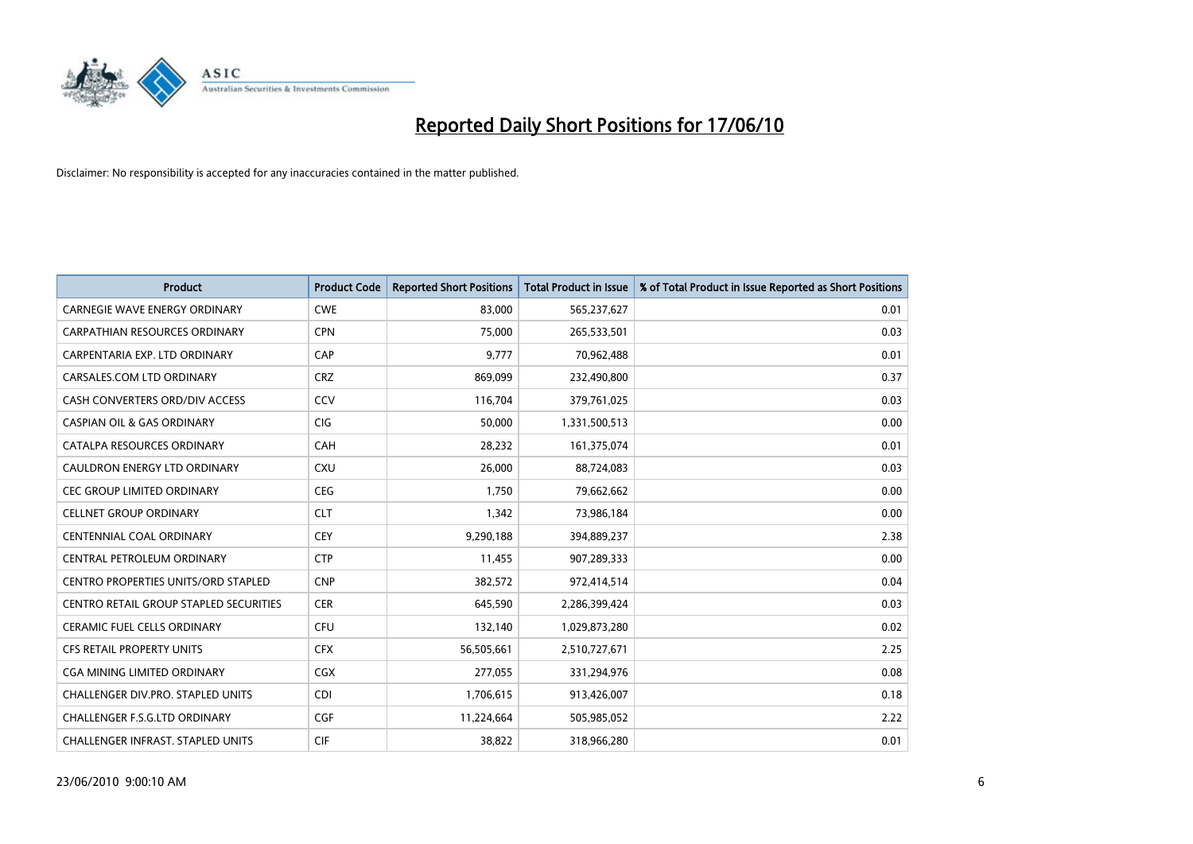

| <b>Product</b>                                | <b>Product Code</b> | <b>Reported Short Positions</b> | <b>Total Product in Issue</b> | % of Total Product in Issue Reported as Short Positions |
|-----------------------------------------------|---------------------|---------------------------------|-------------------------------|---------------------------------------------------------|
| CARNEGIE WAVE ENERGY ORDINARY                 | <b>CWE</b>          | 83,000                          | 565,237,627                   | 0.01                                                    |
| CARPATHIAN RESOURCES ORDINARY                 | <b>CPN</b>          | 75,000                          | 265,533,501                   | 0.03                                                    |
| CARPENTARIA EXP. LTD ORDINARY                 | CAP                 | 9.777                           | 70,962,488                    | 0.01                                                    |
| CARSALES.COM LTD ORDINARY                     | <b>CRZ</b>          | 869,099                         | 232,490,800                   | 0.37                                                    |
| CASH CONVERTERS ORD/DIV ACCESS                | CCV                 | 116,704                         | 379,761,025                   | 0.03                                                    |
| <b>CASPIAN OIL &amp; GAS ORDINARY</b>         | <b>CIG</b>          | 50,000                          | 1,331,500,513                 | 0.00                                                    |
| CATALPA RESOURCES ORDINARY                    | CAH                 | 28,232                          | 161,375,074                   | 0.01                                                    |
| CAULDRON ENERGY LTD ORDINARY                  | <b>CXU</b>          | 26,000                          | 88,724,083                    | 0.03                                                    |
| <b>CEC GROUP LIMITED ORDINARY</b>             | <b>CEG</b>          | 1,750                           | 79,662,662                    | 0.00                                                    |
| <b>CELLNET GROUP ORDINARY</b>                 | <b>CLT</b>          | 1,342                           | 73,986,184                    | 0.00                                                    |
| CENTENNIAL COAL ORDINARY                      | <b>CEY</b>          | 9,290,188                       | 394,889,237                   | 2.38                                                    |
| CENTRAL PETROLEUM ORDINARY                    | <b>CTP</b>          | 11,455                          | 907,289,333                   | 0.00                                                    |
| CENTRO PROPERTIES UNITS/ORD STAPLED           | <b>CNP</b>          | 382,572                         | 972,414,514                   | 0.04                                                    |
| <b>CENTRO RETAIL GROUP STAPLED SECURITIES</b> | <b>CER</b>          | 645,590                         | 2,286,399,424                 | 0.03                                                    |
| <b>CERAMIC FUEL CELLS ORDINARY</b>            | <b>CFU</b>          | 132,140                         | 1,029,873,280                 | 0.02                                                    |
| <b>CFS RETAIL PROPERTY UNITS</b>              | <b>CFX</b>          | 56,505,661                      | 2,510,727,671                 | 2.25                                                    |
| CGA MINING LIMITED ORDINARY                   | CGX                 | 277,055                         | 331,294,976                   | 0.08                                                    |
| CHALLENGER DIV.PRO. STAPLED UNITS             | <b>CDI</b>          | 1,706,615                       | 913,426,007                   | 0.18                                                    |
| CHALLENGER F.S.G.LTD ORDINARY                 | CGF                 | 11,224,664                      | 505,985,052                   | 2.22                                                    |
| CHALLENGER INFRAST. STAPLED UNITS             | <b>CIF</b>          | 38,822                          | 318,966,280                   | 0.01                                                    |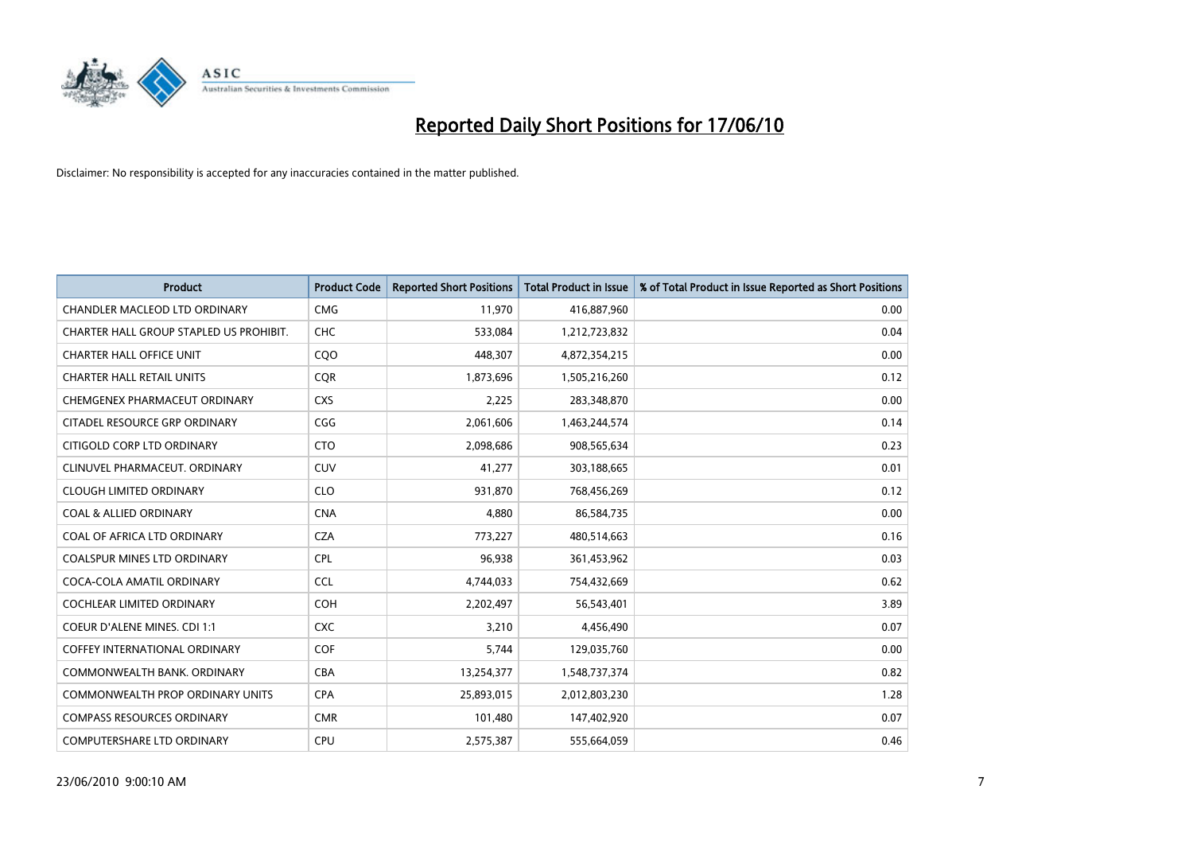

| <b>Product</b>                          | <b>Product Code</b> | <b>Reported Short Positions</b> | Total Product in Issue | % of Total Product in Issue Reported as Short Positions |
|-----------------------------------------|---------------------|---------------------------------|------------------------|---------------------------------------------------------|
| <b>CHANDLER MACLEOD LTD ORDINARY</b>    | <b>CMG</b>          | 11,970                          | 416,887,960            | 0.00                                                    |
| CHARTER HALL GROUP STAPLED US PROHIBIT. | <b>CHC</b>          | 533,084                         | 1,212,723,832          | 0.04                                                    |
| <b>CHARTER HALL OFFICE UNIT</b>         | CQO                 | 448,307                         | 4,872,354,215          | 0.00                                                    |
| <b>CHARTER HALL RETAIL UNITS</b>        | <b>COR</b>          | 1,873,696                       | 1,505,216,260          | 0.12                                                    |
| CHEMGENEX PHARMACEUT ORDINARY           | <b>CXS</b>          | 2,225                           | 283,348,870            | 0.00                                                    |
| CITADEL RESOURCE GRP ORDINARY           | CGG                 | 2,061,606                       | 1,463,244,574          | 0.14                                                    |
| CITIGOLD CORP LTD ORDINARY              | <b>CTO</b>          | 2,098,686                       | 908,565,634            | 0.23                                                    |
| CLINUVEL PHARMACEUT, ORDINARY           | CUV                 | 41,277                          | 303,188,665            | 0.01                                                    |
| <b>CLOUGH LIMITED ORDINARY</b>          | <b>CLO</b>          | 931,870                         | 768,456,269            | 0.12                                                    |
| <b>COAL &amp; ALLIED ORDINARY</b>       | <b>CNA</b>          | 4.880                           | 86,584,735             | 0.00                                                    |
| COAL OF AFRICA LTD ORDINARY             | <b>CZA</b>          | 773,227                         | 480,514,663            | 0.16                                                    |
| <b>COALSPUR MINES LTD ORDINARY</b>      | <b>CPL</b>          | 96,938                          | 361,453,962            | 0.03                                                    |
| COCA-COLA AMATIL ORDINARY               | <b>CCL</b>          | 4,744,033                       | 754,432,669            | 0.62                                                    |
| <b>COCHLEAR LIMITED ORDINARY</b>        | <b>COH</b>          | 2,202,497                       | 56,543,401             | 3.89                                                    |
| COEUR D'ALENE MINES. CDI 1:1            | <b>CXC</b>          | 3,210                           | 4,456,490              | 0.07                                                    |
| <b>COFFEY INTERNATIONAL ORDINARY</b>    | COF                 | 5.744                           | 129,035,760            | 0.00                                                    |
| COMMONWEALTH BANK, ORDINARY             | <b>CBA</b>          | 13,254,377                      | 1,548,737,374          | 0.82                                                    |
| COMMONWEALTH PROP ORDINARY UNITS        | <b>CPA</b>          | 25,893,015                      | 2,012,803,230          | 1.28                                                    |
| <b>COMPASS RESOURCES ORDINARY</b>       | <b>CMR</b>          | 101,480                         | 147,402,920            | 0.07                                                    |
| <b>COMPUTERSHARE LTD ORDINARY</b>       | <b>CPU</b>          | 2,575,387                       | 555,664,059            | 0.46                                                    |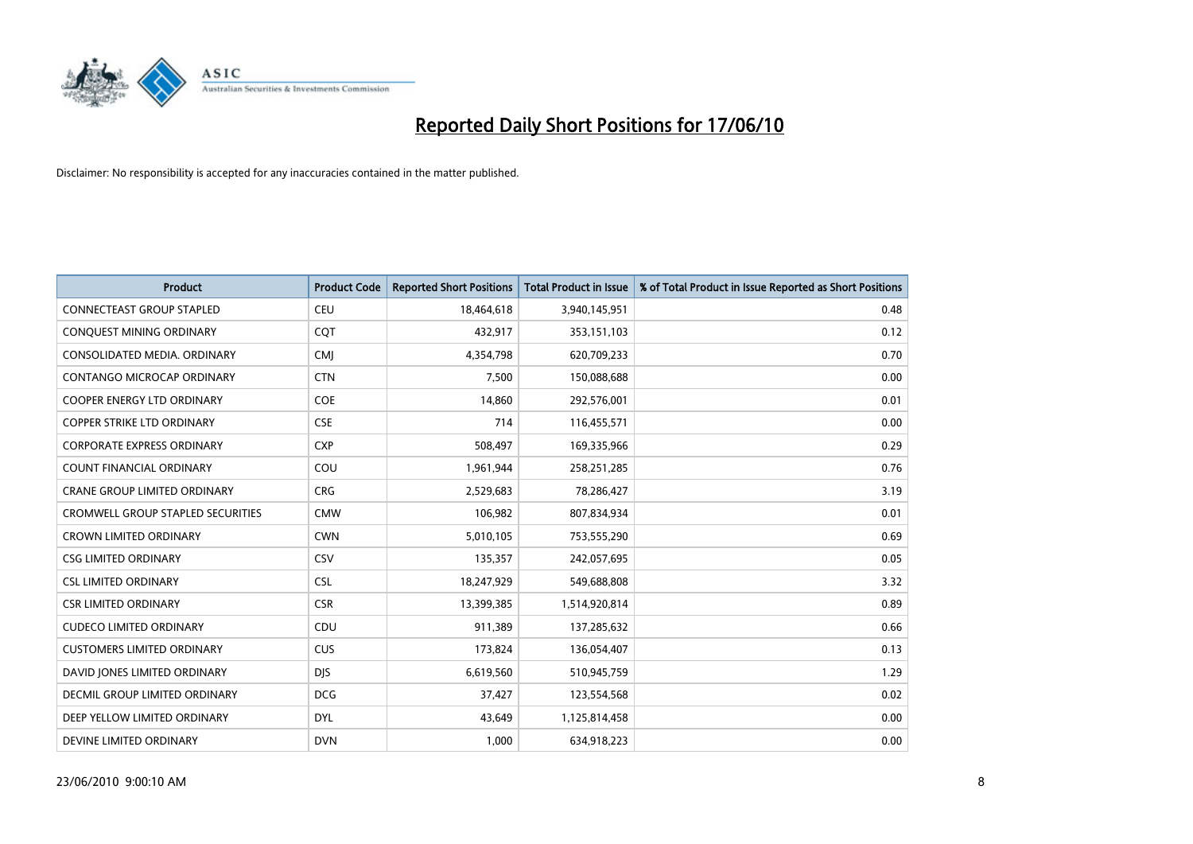

| <b>Product</b>                           | <b>Product Code</b> | <b>Reported Short Positions</b> | <b>Total Product in Issue</b> | % of Total Product in Issue Reported as Short Positions |
|------------------------------------------|---------------------|---------------------------------|-------------------------------|---------------------------------------------------------|
| <b>CONNECTEAST GROUP STAPLED</b>         | <b>CEU</b>          | 18,464,618                      | 3,940,145,951                 | 0.48                                                    |
| CONQUEST MINING ORDINARY                 | <b>COT</b>          | 432,917                         | 353,151,103                   | 0.12                                                    |
| CONSOLIDATED MEDIA, ORDINARY             | <b>CMI</b>          | 4,354,798                       | 620,709,233                   | 0.70                                                    |
| CONTANGO MICROCAP ORDINARY               | <b>CTN</b>          | 7,500                           | 150,088,688                   | 0.00                                                    |
| <b>COOPER ENERGY LTD ORDINARY</b>        | <b>COE</b>          | 14,860                          | 292,576,001                   | 0.01                                                    |
| COPPER STRIKE LTD ORDINARY               | <b>CSE</b>          | 714                             | 116,455,571                   | 0.00                                                    |
| <b>CORPORATE EXPRESS ORDINARY</b>        | <b>CXP</b>          | 508,497                         | 169,335,966                   | 0.29                                                    |
| <b>COUNT FINANCIAL ORDINARY</b>          | COU                 | 1,961,944                       | 258,251,285                   | 0.76                                                    |
| CRANE GROUP LIMITED ORDINARY             | <b>CRG</b>          | 2,529,683                       | 78,286,427                    | 3.19                                                    |
| <b>CROMWELL GROUP STAPLED SECURITIES</b> | <b>CMW</b>          | 106,982                         | 807,834,934                   | 0.01                                                    |
| <b>CROWN LIMITED ORDINARY</b>            | <b>CWN</b>          | 5,010,105                       | 753,555,290                   | 0.69                                                    |
| <b>CSG LIMITED ORDINARY</b>              | CSV                 | 135,357                         | 242,057,695                   | 0.05                                                    |
| <b>CSL LIMITED ORDINARY</b>              | <b>CSL</b>          | 18,247,929                      | 549,688,808                   | 3.32                                                    |
| <b>CSR LIMITED ORDINARY</b>              | <b>CSR</b>          | 13,399,385                      | 1,514,920,814                 | 0.89                                                    |
| <b>CUDECO LIMITED ORDINARY</b>           | CDU                 | 911,389                         | 137,285,632                   | 0.66                                                    |
| <b>CUSTOMERS LIMITED ORDINARY</b>        | CUS                 | 173,824                         | 136,054,407                   | 0.13                                                    |
| DAVID JONES LIMITED ORDINARY             | <b>DJS</b>          | 6,619,560                       | 510,945,759                   | 1.29                                                    |
| DECMIL GROUP LIMITED ORDINARY            | <b>DCG</b>          | 37,427                          | 123,554,568                   | 0.02                                                    |
| DEEP YELLOW LIMITED ORDINARY             | <b>DYL</b>          | 43,649                          | 1,125,814,458                 | 0.00                                                    |
| DEVINE LIMITED ORDINARY                  | <b>DVN</b>          | 1.000                           | 634,918,223                   | 0.00                                                    |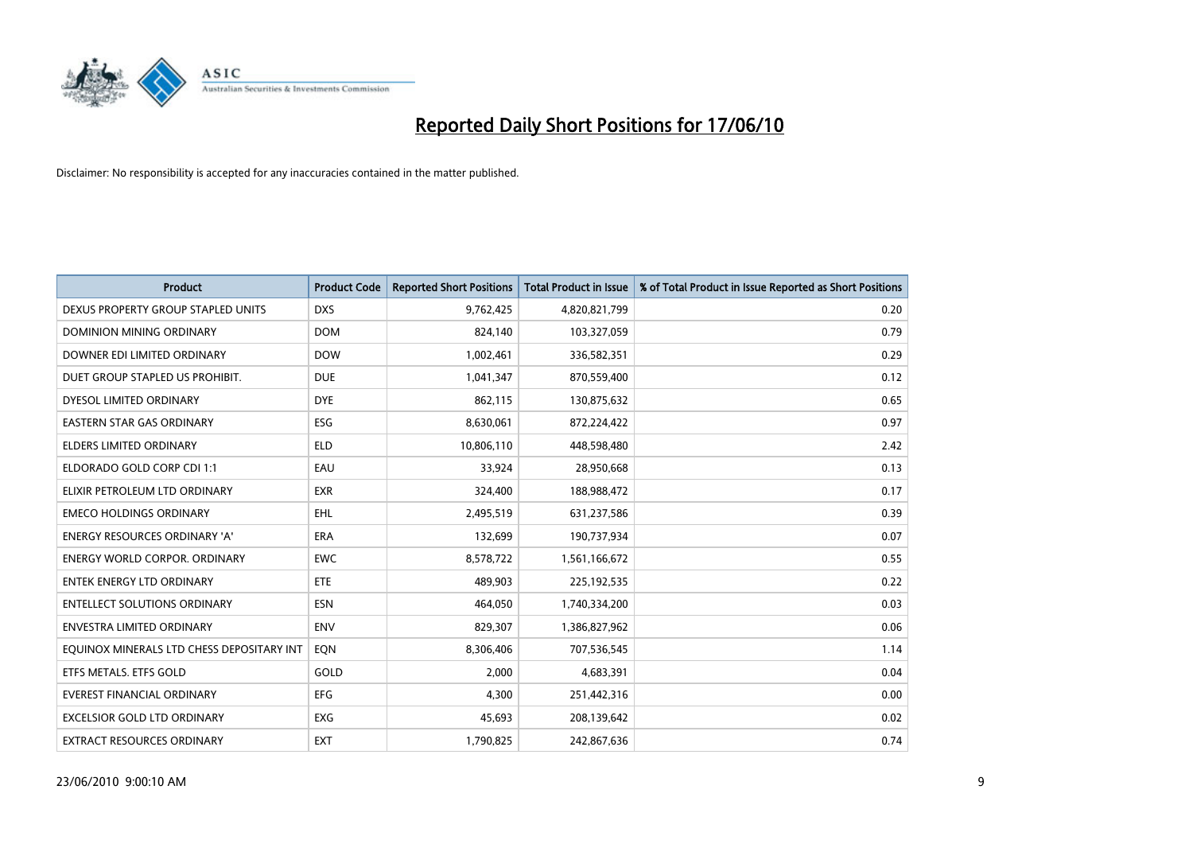

| <b>Product</b>                            | <b>Product Code</b> | <b>Reported Short Positions</b> | <b>Total Product in Issue</b> | % of Total Product in Issue Reported as Short Positions |
|-------------------------------------------|---------------------|---------------------------------|-------------------------------|---------------------------------------------------------|
| DEXUS PROPERTY GROUP STAPLED UNITS        | <b>DXS</b>          | 9,762,425                       | 4,820,821,799                 | 0.20                                                    |
| <b>DOMINION MINING ORDINARY</b>           | <b>DOM</b>          | 824,140                         | 103,327,059                   | 0.79                                                    |
| DOWNER EDI LIMITED ORDINARY               | <b>DOW</b>          | 1,002,461                       | 336,582,351                   | 0.29                                                    |
| DUET GROUP STAPLED US PROHIBIT.           | <b>DUE</b>          | 1,041,347                       | 870,559,400                   | 0.12                                                    |
| DYESOL LIMITED ORDINARY                   | <b>DYE</b>          | 862,115                         | 130,875,632                   | 0.65                                                    |
| <b>EASTERN STAR GAS ORDINARY</b>          | ESG                 | 8,630,061                       | 872,224,422                   | 0.97                                                    |
| ELDERS LIMITED ORDINARY                   | <b>ELD</b>          | 10,806,110                      | 448,598,480                   | 2.42                                                    |
| ELDORADO GOLD CORP CDI 1:1                | EAU                 | 33,924                          | 28,950,668                    | 0.13                                                    |
| ELIXIR PETROLEUM LTD ORDINARY             | <b>EXR</b>          | 324,400                         | 188,988,472                   | 0.17                                                    |
| <b>EMECO HOLDINGS ORDINARY</b>            | <b>EHL</b>          | 2,495,519                       | 631,237,586                   | 0.39                                                    |
| ENERGY RESOURCES ORDINARY 'A'             | <b>ERA</b>          | 132,699                         | 190,737,934                   | 0.07                                                    |
| <b>ENERGY WORLD CORPOR, ORDINARY</b>      | <b>EWC</b>          | 8,578,722                       | 1,561,166,672                 | 0.55                                                    |
| <b>ENTEK ENERGY LTD ORDINARY</b>          | <b>ETE</b>          | 489,903                         | 225,192,535                   | 0.22                                                    |
| <b>ENTELLECT SOLUTIONS ORDINARY</b>       | <b>ESN</b>          | 464,050                         | 1,740,334,200                 | 0.03                                                    |
| <b>ENVESTRA LIMITED ORDINARY</b>          | <b>ENV</b>          | 829,307                         | 1,386,827,962                 | 0.06                                                    |
| EQUINOX MINERALS LTD CHESS DEPOSITARY INT | EON                 | 8,306,406                       | 707,536,545                   | 1.14                                                    |
| ETFS METALS. ETFS GOLD                    | GOLD                | 2,000                           | 4,683,391                     | 0.04                                                    |
| <b>EVEREST FINANCIAL ORDINARY</b>         | <b>EFG</b>          | 4,300                           | 251,442,316                   | 0.00                                                    |
| <b>EXCELSIOR GOLD LTD ORDINARY</b>        | EXG                 | 45,693                          | 208,139,642                   | 0.02                                                    |
| EXTRACT RESOURCES ORDINARY                | <b>EXT</b>          | 1,790,825                       | 242,867,636                   | 0.74                                                    |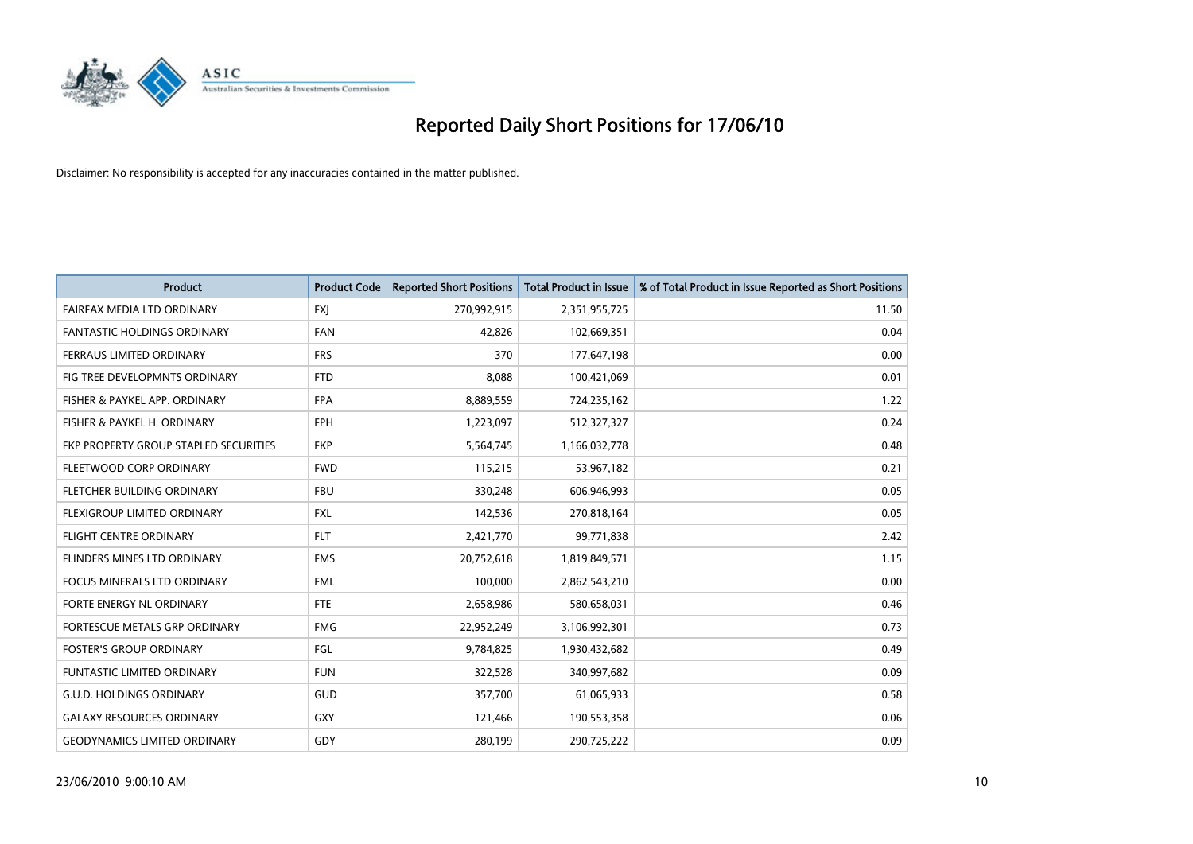

| <b>Product</b>                        | <b>Product Code</b> | <b>Reported Short Positions</b> | <b>Total Product in Issue</b> | % of Total Product in Issue Reported as Short Positions |
|---------------------------------------|---------------------|---------------------------------|-------------------------------|---------------------------------------------------------|
| FAIRFAX MEDIA LTD ORDINARY            | <b>FXJ</b>          | 270,992,915                     | 2,351,955,725                 | 11.50                                                   |
| <b>FANTASTIC HOLDINGS ORDINARY</b>    | <b>FAN</b>          | 42,826                          | 102,669,351                   | 0.04                                                    |
| FERRAUS LIMITED ORDINARY              | <b>FRS</b>          | 370                             | 177,647,198                   | 0.00                                                    |
| FIG TREE DEVELOPMNTS ORDINARY         | <b>FTD</b>          | 8.088                           | 100,421,069                   | 0.01                                                    |
| FISHER & PAYKEL APP. ORDINARY         | <b>FPA</b>          | 8,889,559                       | 724,235,162                   | 1.22                                                    |
| FISHER & PAYKEL H. ORDINARY           | <b>FPH</b>          | 1,223,097                       | 512,327,327                   | 0.24                                                    |
| FKP PROPERTY GROUP STAPLED SECURITIES | <b>FKP</b>          | 5,564,745                       | 1,166,032,778                 | 0.48                                                    |
| FLEETWOOD CORP ORDINARY               | <b>FWD</b>          | 115,215                         | 53,967,182                    | 0.21                                                    |
| FLETCHER BUILDING ORDINARY            | <b>FBU</b>          | 330,248                         | 606,946,993                   | 0.05                                                    |
| FLEXIGROUP LIMITED ORDINARY           | <b>FXL</b>          | 142,536                         | 270,818,164                   | 0.05                                                    |
| FLIGHT CENTRE ORDINARY                | <b>FLT</b>          | 2,421,770                       | 99,771,838                    | 2.42                                                    |
| <b>FLINDERS MINES LTD ORDINARY</b>    | <b>FMS</b>          | 20,752,618                      | 1,819,849,571                 | 1.15                                                    |
| <b>FOCUS MINERALS LTD ORDINARY</b>    | <b>FML</b>          | 100,000                         | 2,862,543,210                 | 0.00                                                    |
| FORTE ENERGY NL ORDINARY              | <b>FTE</b>          | 2,658,986                       | 580,658,031                   | 0.46                                                    |
| FORTESCUE METALS GRP ORDINARY         | <b>FMG</b>          | 22,952,249                      | 3,106,992,301                 | 0.73                                                    |
| <b>FOSTER'S GROUP ORDINARY</b>        | FGL                 | 9,784,825                       | 1,930,432,682                 | 0.49                                                    |
| <b>FUNTASTIC LIMITED ORDINARY</b>     | <b>FUN</b>          | 322,528                         | 340,997,682                   | 0.09                                                    |
| <b>G.U.D. HOLDINGS ORDINARY</b>       | <b>GUD</b>          | 357.700                         | 61,065,933                    | 0.58                                                    |
| <b>GALAXY RESOURCES ORDINARY</b>      | <b>GXY</b>          | 121,466                         | 190,553,358                   | 0.06                                                    |
| <b>GEODYNAMICS LIMITED ORDINARY</b>   | GDY                 | 280,199                         | 290,725,222                   | 0.09                                                    |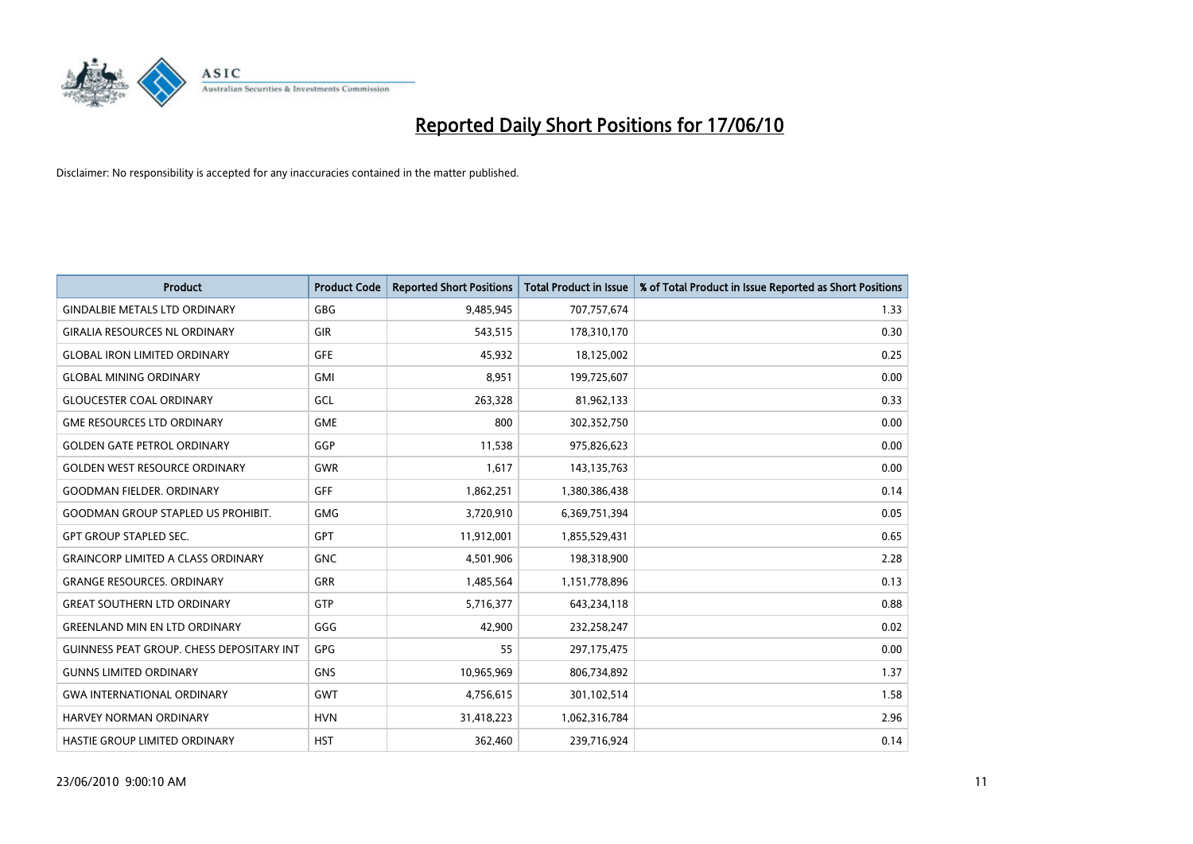

| <b>Product</b>                            | <b>Product Code</b> | <b>Reported Short Positions</b> | Total Product in Issue | % of Total Product in Issue Reported as Short Positions |
|-------------------------------------------|---------------------|---------------------------------|------------------------|---------------------------------------------------------|
| <b>GINDALBIE METALS LTD ORDINARY</b>      | <b>GBG</b>          | 9,485,945                       | 707,757,674            | 1.33                                                    |
| <b>GIRALIA RESOURCES NL ORDINARY</b>      | <b>GIR</b>          | 543,515                         | 178,310,170            | 0.30                                                    |
| <b>GLOBAL IRON LIMITED ORDINARY</b>       | <b>GFE</b>          | 45,932                          | 18,125,002             | 0.25                                                    |
| <b>GLOBAL MINING ORDINARY</b>             | <b>GMI</b>          | 8,951                           | 199,725,607            | 0.00                                                    |
| <b>GLOUCESTER COAL ORDINARY</b>           | GCL                 | 263,328                         | 81,962,133             | 0.33                                                    |
| <b>GME RESOURCES LTD ORDINARY</b>         | <b>GME</b>          | 800                             | 302,352,750            | 0.00                                                    |
| <b>GOLDEN GATE PETROL ORDINARY</b>        | GGP                 | 11,538                          | 975,826,623            | 0.00                                                    |
| <b>GOLDEN WEST RESOURCE ORDINARY</b>      | GWR                 | 1,617                           | 143, 135, 763          | 0.00                                                    |
| <b>GOODMAN FIELDER. ORDINARY</b>          | <b>GFF</b>          | 1,862,251                       | 1,380,386,438          | 0.14                                                    |
| <b>GOODMAN GROUP STAPLED US PROHIBIT.</b> | <b>GMG</b>          | 3,720,910                       | 6,369,751,394          | 0.05                                                    |
| <b>GPT GROUP STAPLED SEC.</b>             | <b>GPT</b>          | 11,912,001                      | 1,855,529,431          | 0.65                                                    |
| <b>GRAINCORP LIMITED A CLASS ORDINARY</b> | <b>GNC</b>          | 4,501,906                       | 198,318,900            | 2.28                                                    |
| <b>GRANGE RESOURCES, ORDINARY</b>         | <b>GRR</b>          | 1,485,564                       | 1,151,778,896          | 0.13                                                    |
| <b>GREAT SOUTHERN LTD ORDINARY</b>        | <b>GTP</b>          | 5,716,377                       | 643,234,118            | 0.88                                                    |
| <b>GREENLAND MIN EN LTD ORDINARY</b>      | GGG                 | 42.900                          | 232,258,247            | 0.02                                                    |
| GUINNESS PEAT GROUP. CHESS DEPOSITARY INT | <b>GPG</b>          | 55                              | 297,175,475            | 0.00                                                    |
| <b>GUNNS LIMITED ORDINARY</b>             | <b>GNS</b>          | 10,965,969                      | 806,734,892            | 1.37                                                    |
| <b>GWA INTERNATIONAL ORDINARY</b>         | <b>GWT</b>          | 4,756,615                       | 301,102,514            | 1.58                                                    |
| HARVEY NORMAN ORDINARY                    | <b>HVN</b>          | 31,418,223                      | 1,062,316,784          | 2.96                                                    |
| <b>HASTIE GROUP LIMITED ORDINARY</b>      | <b>HST</b>          | 362,460                         | 239,716,924            | 0.14                                                    |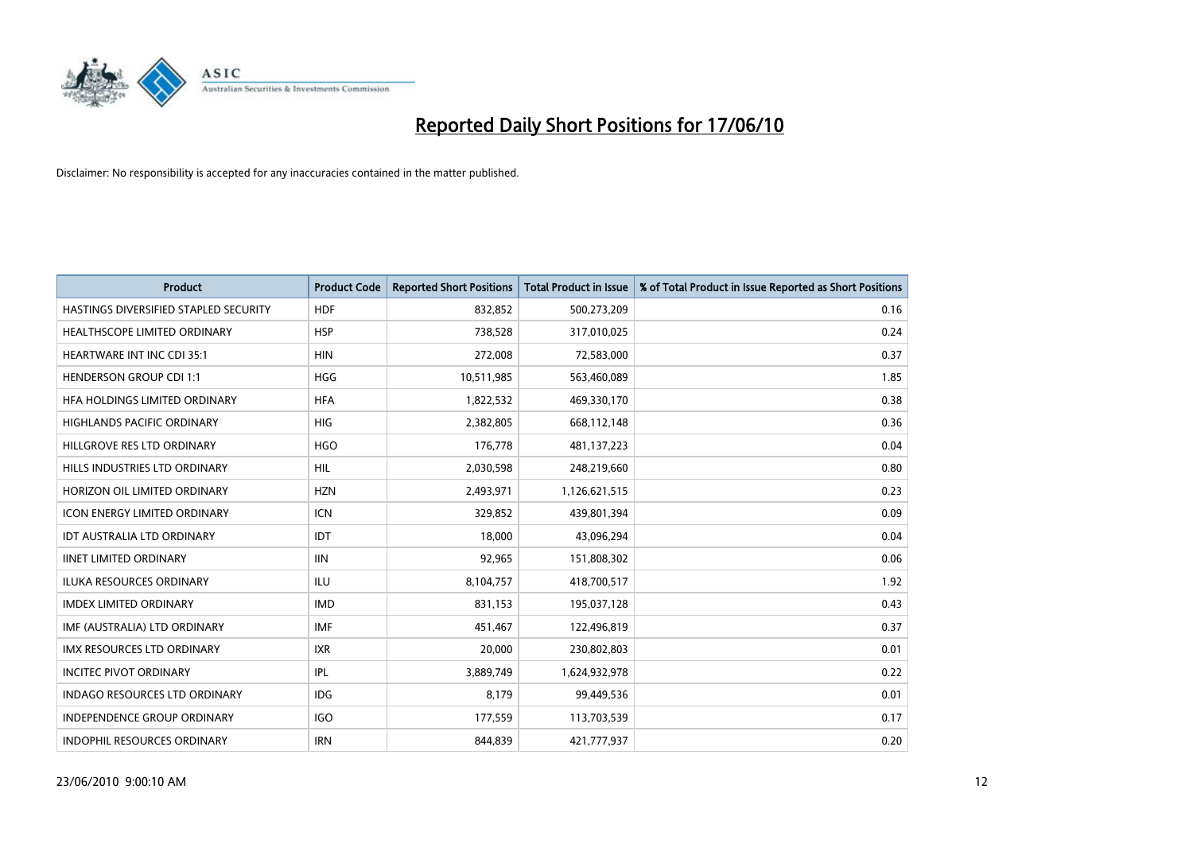

| <b>Product</b>                        | <b>Product Code</b> | <b>Reported Short Positions</b> | Total Product in Issue | % of Total Product in Issue Reported as Short Positions |
|---------------------------------------|---------------------|---------------------------------|------------------------|---------------------------------------------------------|
| HASTINGS DIVERSIFIED STAPLED SECURITY | <b>HDF</b>          | 832,852                         | 500,273,209            | 0.16                                                    |
| HEALTHSCOPE LIMITED ORDINARY          | <b>HSP</b>          | 738,528                         | 317,010,025            | 0.24                                                    |
| <b>HEARTWARE INT INC CDI 35:1</b>     | <b>HIN</b>          | 272,008                         | 72,583,000             | 0.37                                                    |
| <b>HENDERSON GROUP CDI 1:1</b>        | <b>HGG</b>          | 10,511,985                      | 563,460,089            | 1.85                                                    |
| HFA HOLDINGS LIMITED ORDINARY         | <b>HFA</b>          | 1,822,532                       | 469,330,170            | 0.38                                                    |
| <b>HIGHLANDS PACIFIC ORDINARY</b>     | <b>HIG</b>          | 2,382,805                       | 668,112,148            | 0.36                                                    |
| HILLGROVE RES LTD ORDINARY            | <b>HGO</b>          | 176,778                         | 481,137,223            | 0.04                                                    |
| HILLS INDUSTRIES LTD ORDINARY         | <b>HIL</b>          | 2,030,598                       | 248,219,660            | 0.80                                                    |
| HORIZON OIL LIMITED ORDINARY          | <b>HZN</b>          | 2,493,971                       | 1,126,621,515          | 0.23                                                    |
| <b>ICON ENERGY LIMITED ORDINARY</b>   | <b>ICN</b>          | 329,852                         | 439,801,394            | 0.09                                                    |
| IDT AUSTRALIA LTD ORDINARY            | <b>IDT</b>          | 18,000                          | 43,096,294             | 0.04                                                    |
| <b>IINET LIMITED ORDINARY</b>         | <b>IIN</b>          | 92,965                          | 151,808,302            | 0.06                                                    |
| ILUKA RESOURCES ORDINARY              | ILU                 | 8,104,757                       | 418,700,517            | 1.92                                                    |
| <b>IMDEX LIMITED ORDINARY</b>         | <b>IMD</b>          | 831,153                         | 195,037,128            | 0.43                                                    |
| IMF (AUSTRALIA) LTD ORDINARY          | IMF                 | 451,467                         | 122,496,819            | 0.37                                                    |
| <b>IMX RESOURCES LTD ORDINARY</b>     | <b>IXR</b>          | 20,000                          | 230,802,803            | 0.01                                                    |
| <b>INCITEC PIVOT ORDINARY</b>         | <b>IPL</b>          | 3,889,749                       | 1,624,932,978          | 0.22                                                    |
| INDAGO RESOURCES LTD ORDINARY         | <b>IDG</b>          | 8,179                           | 99,449,536             | 0.01                                                    |
| <b>INDEPENDENCE GROUP ORDINARY</b>    | <b>IGO</b>          | 177,559                         | 113,703,539            | 0.17                                                    |
| INDOPHIL RESOURCES ORDINARY           | <b>IRN</b>          | 844,839                         | 421,777,937            | 0.20                                                    |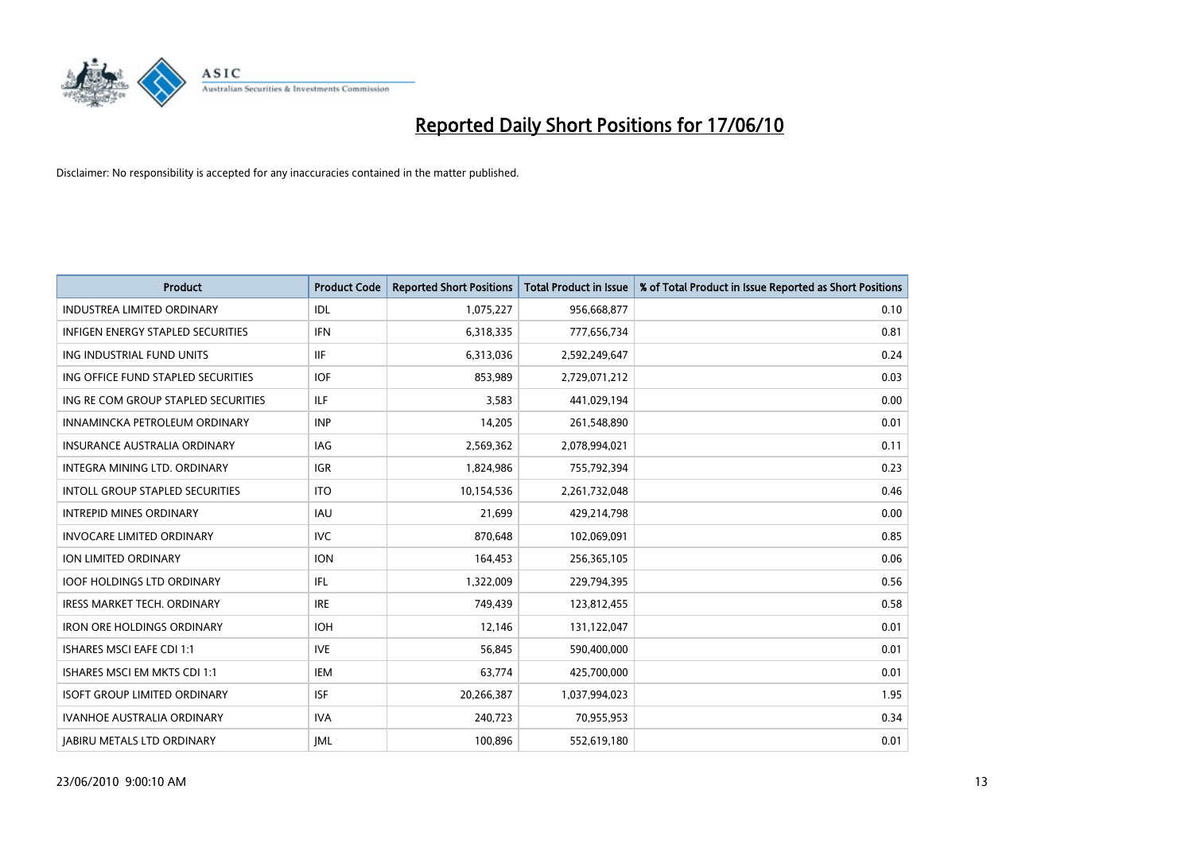

| <b>Product</b>                           | <b>Product Code</b> | <b>Reported Short Positions</b> | Total Product in Issue | % of Total Product in Issue Reported as Short Positions |
|------------------------------------------|---------------------|---------------------------------|------------------------|---------------------------------------------------------|
| <b>INDUSTREA LIMITED ORDINARY</b>        | <b>IDL</b>          | 1,075,227                       | 956,668,877            | 0.10                                                    |
| <b>INFIGEN ENERGY STAPLED SECURITIES</b> | <b>IFN</b>          | 6,318,335                       | 777,656,734            | 0.81                                                    |
| ING INDUSTRIAL FUND UNITS                | <b>IIF</b>          | 6,313,036                       | 2,592,249,647          | 0.24                                                    |
| ING OFFICE FUND STAPLED SECURITIES       | <b>IOF</b>          | 853,989                         | 2,729,071,212          | 0.03                                                    |
| ING RE COM GROUP STAPLED SECURITIES      | <b>ILF</b>          | 3,583                           | 441,029,194            | 0.00                                                    |
| INNAMINCKA PETROLEUM ORDINARY            | <b>INP</b>          | 14,205                          | 261,548,890            | 0.01                                                    |
| INSURANCE AUSTRALIA ORDINARY             | IAG                 | 2,569,362                       | 2,078,994,021          | 0.11                                                    |
| <b>INTEGRA MINING LTD, ORDINARY</b>      | <b>IGR</b>          | 1,824,986                       | 755,792,394            | 0.23                                                    |
| <b>INTOLL GROUP STAPLED SECURITIES</b>   | <b>ITO</b>          | 10,154,536                      | 2,261,732,048          | 0.46                                                    |
| <b>INTREPID MINES ORDINARY</b>           | <b>IAU</b>          | 21,699                          | 429,214,798            | 0.00                                                    |
| <b>INVOCARE LIMITED ORDINARY</b>         | <b>IVC</b>          | 870,648                         | 102,069,091            | 0.85                                                    |
| ION LIMITED ORDINARY                     | <b>ION</b>          | 164,453                         | 256,365,105            | 0.06                                                    |
| <b>IOOF HOLDINGS LTD ORDINARY</b>        | <b>IFL</b>          | 1,322,009                       | 229,794,395            | 0.56                                                    |
| <b>IRESS MARKET TECH. ORDINARY</b>       | <b>IRE</b>          | 749,439                         | 123,812,455            | 0.58                                                    |
| <b>IRON ORE HOLDINGS ORDINARY</b>        | <b>IOH</b>          | 12,146                          | 131,122,047            | 0.01                                                    |
| <b>ISHARES MSCI EAFE CDI 1:1</b>         | <b>IVE</b>          | 56,845                          | 590,400,000            | 0.01                                                    |
| ISHARES MSCI EM MKTS CDI 1:1             | <b>IEM</b>          | 63,774                          | 425,700,000            | 0.01                                                    |
| <b>ISOFT GROUP LIMITED ORDINARY</b>      | <b>ISF</b>          | 20,266,387                      | 1,037,994,023          | 1.95                                                    |
| <b>IVANHOE AUSTRALIA ORDINARY</b>        | <b>IVA</b>          | 240,723                         | 70,955,953             | 0.34                                                    |
| <b>JABIRU METALS LTD ORDINARY</b>        | <b>JML</b>          | 100,896                         | 552,619,180            | 0.01                                                    |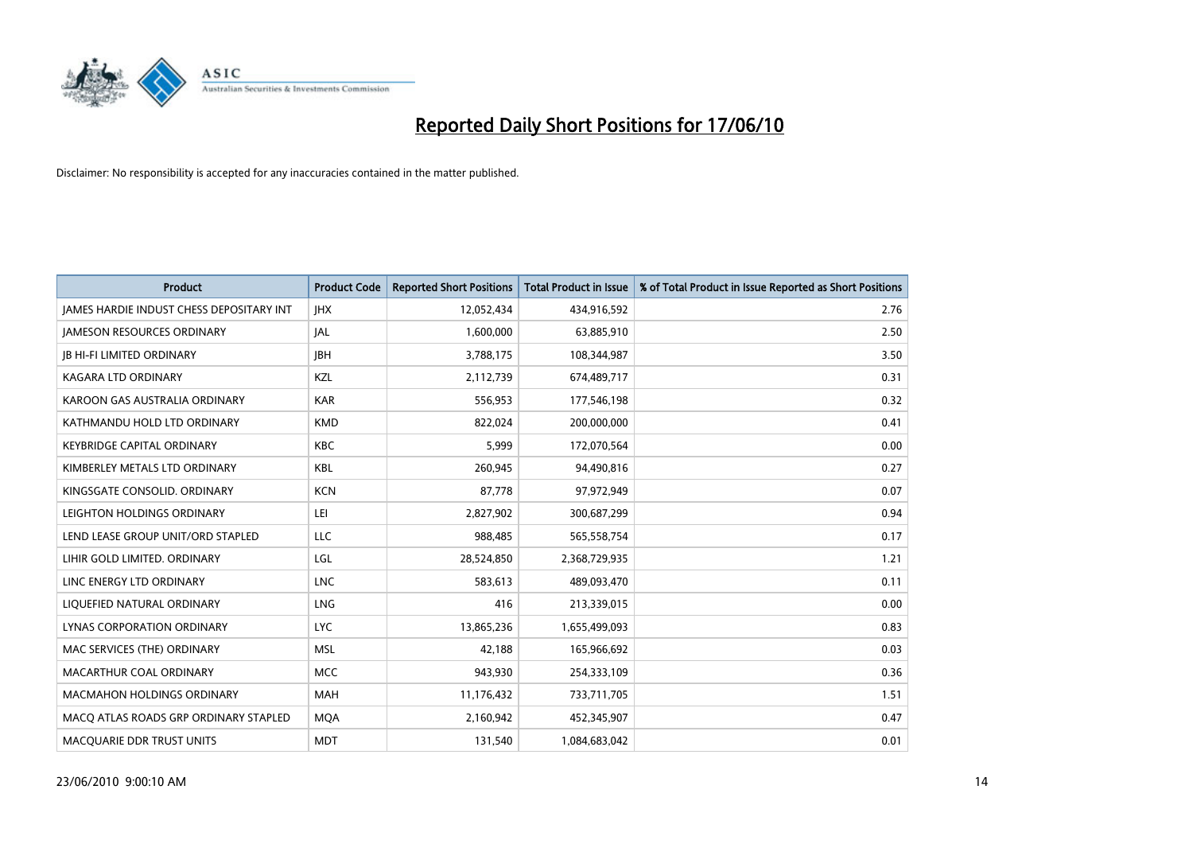

| <b>Product</b>                                  | <b>Product Code</b> | <b>Reported Short Positions</b> | <b>Total Product in Issue</b> | % of Total Product in Issue Reported as Short Positions |
|-------------------------------------------------|---------------------|---------------------------------|-------------------------------|---------------------------------------------------------|
| <b>JAMES HARDIE INDUST CHESS DEPOSITARY INT</b> | <b>IHX</b>          | 12,052,434                      | 434,916,592                   | 2.76                                                    |
| <b>JAMESON RESOURCES ORDINARY</b>               | <b>JAL</b>          | 1,600,000                       | 63,885,910                    | 2.50                                                    |
| <b>JB HI-FI LIMITED ORDINARY</b>                | <b>IBH</b>          | 3,788,175                       | 108,344,987                   | 3.50                                                    |
| KAGARA LTD ORDINARY                             | KZL                 | 2,112,739                       | 674,489,717                   | 0.31                                                    |
| KAROON GAS AUSTRALIA ORDINARY                   | <b>KAR</b>          | 556,953                         | 177,546,198                   | 0.32                                                    |
| KATHMANDU HOLD LTD ORDINARY                     | <b>KMD</b>          | 822,024                         | 200,000,000                   | 0.41                                                    |
| <b>KEYBRIDGE CAPITAL ORDINARY</b>               | <b>KBC</b>          | 5.999                           | 172,070,564                   | 0.00                                                    |
| KIMBERLEY METALS LTD ORDINARY                   | <b>KBL</b>          | 260,945                         | 94,490,816                    | 0.27                                                    |
| KINGSGATE CONSOLID. ORDINARY                    | <b>KCN</b>          | 87,778                          | 97,972,949                    | 0.07                                                    |
| LEIGHTON HOLDINGS ORDINARY                      | LEI                 | 2,827,902                       | 300,687,299                   | 0.94                                                    |
| LEND LEASE GROUP UNIT/ORD STAPLED               | LLC                 | 988,485                         | 565,558,754                   | 0.17                                                    |
| LIHIR GOLD LIMITED. ORDINARY                    | LGL                 | 28,524,850                      | 2,368,729,935                 | 1.21                                                    |
| LINC ENERGY LTD ORDINARY                        | <b>LNC</b>          | 583,613                         | 489,093,470                   | 0.11                                                    |
| LIQUEFIED NATURAL ORDINARY                      | <b>LNG</b>          | 416                             | 213,339,015                   | 0.00                                                    |
| LYNAS CORPORATION ORDINARY                      | <b>LYC</b>          | 13,865,236                      | 1,655,499,093                 | 0.83                                                    |
| MAC SERVICES (THE) ORDINARY                     | <b>MSL</b>          | 42,188                          | 165,966,692                   | 0.03                                                    |
| MACARTHUR COAL ORDINARY                         | <b>MCC</b>          | 943,930                         | 254,333,109                   | 0.36                                                    |
| <b>MACMAHON HOLDINGS ORDINARY</b>               | <b>MAH</b>          | 11,176,432                      | 733,711,705                   | 1.51                                                    |
| MACO ATLAS ROADS GRP ORDINARY STAPLED           | <b>MOA</b>          | 2,160,942                       | 452,345,907                   | 0.47                                                    |
| <b>MACQUARIE DDR TRUST UNITS</b>                | <b>MDT</b>          | 131.540                         | 1,084,683,042                 | 0.01                                                    |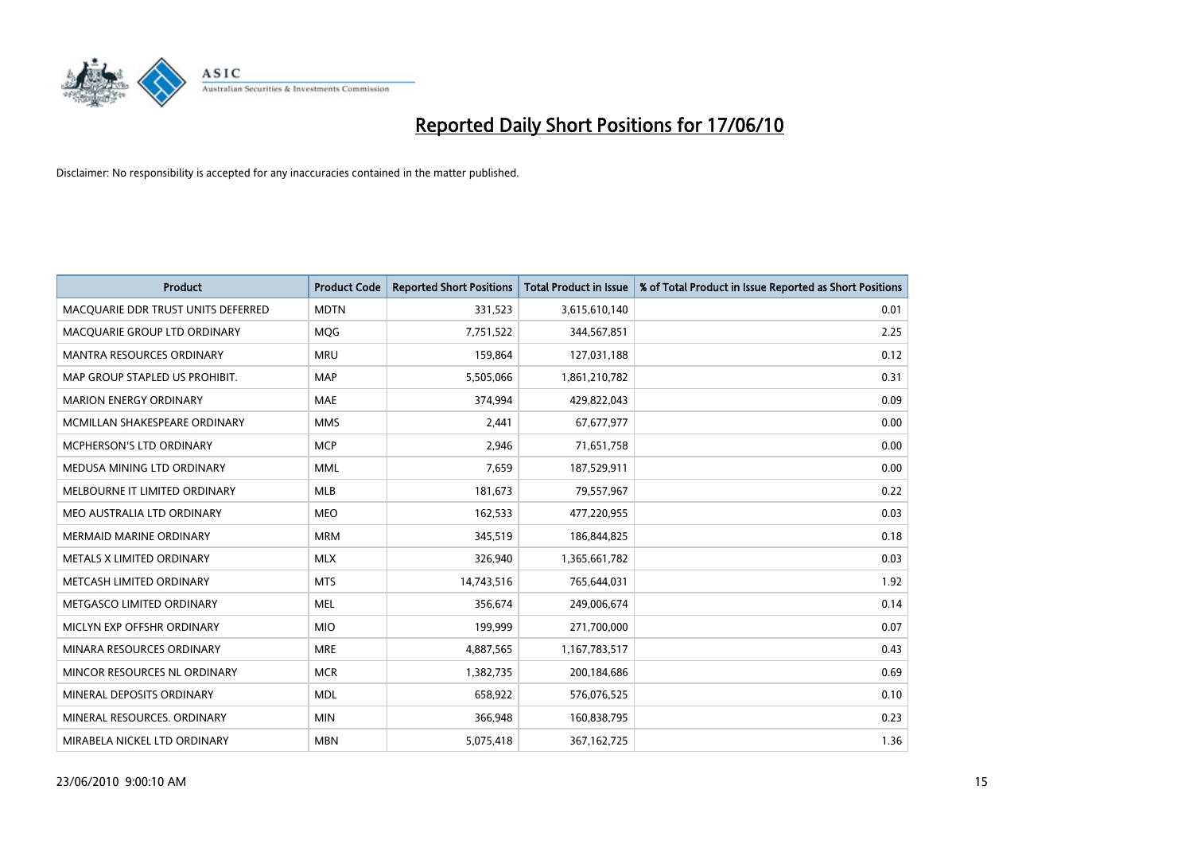

| <b>Product</b>                     | <b>Product Code</b> | <b>Reported Short Positions</b> | <b>Total Product in Issue</b> | % of Total Product in Issue Reported as Short Positions |
|------------------------------------|---------------------|---------------------------------|-------------------------------|---------------------------------------------------------|
| MACQUARIE DDR TRUST UNITS DEFERRED | <b>MDTN</b>         | 331,523                         | 3,615,610,140                 | 0.01                                                    |
| MACQUARIE GROUP LTD ORDINARY       | <b>MOG</b>          | 7,751,522                       | 344,567,851                   | 2.25                                                    |
| <b>MANTRA RESOURCES ORDINARY</b>   | <b>MRU</b>          | 159,864                         | 127,031,188                   | 0.12                                                    |
| MAP GROUP STAPLED US PROHIBIT.     | <b>MAP</b>          | 5,505,066                       | 1,861,210,782                 | 0.31                                                    |
| <b>MARION ENERGY ORDINARY</b>      | <b>MAE</b>          | 374,994                         | 429,822,043                   | 0.09                                                    |
| MCMILLAN SHAKESPEARE ORDINARY      | <b>MMS</b>          | 2,441                           | 67,677,977                    | 0.00                                                    |
| <b>MCPHERSON'S LTD ORDINARY</b>    | <b>MCP</b>          | 2,946                           | 71,651,758                    | 0.00                                                    |
| MEDUSA MINING LTD ORDINARY         | <b>MML</b>          | 7,659                           | 187,529,911                   | 0.00                                                    |
| MELBOURNE IT LIMITED ORDINARY      | <b>MLB</b>          | 181,673                         | 79,557,967                    | 0.22                                                    |
| MEO AUSTRALIA LTD ORDINARY         | <b>MEO</b>          | 162,533                         | 477,220,955                   | 0.03                                                    |
| <b>MERMAID MARINE ORDINARY</b>     | <b>MRM</b>          | 345,519                         | 186,844,825                   | 0.18                                                    |
| METALS X LIMITED ORDINARY          | <b>MLX</b>          | 326,940                         | 1,365,661,782                 | 0.03                                                    |
| METCASH LIMITED ORDINARY           | <b>MTS</b>          | 14,743,516                      | 765,644,031                   | 1.92                                                    |
| METGASCO LIMITED ORDINARY          | <b>MEL</b>          | 356.674                         | 249,006,674                   | 0.14                                                    |
| MICLYN EXP OFFSHR ORDINARY         | <b>MIO</b>          | 199,999                         | 271,700,000                   | 0.07                                                    |
| MINARA RESOURCES ORDINARY          | <b>MRE</b>          | 4,887,565                       | 1,167,783,517                 | 0.43                                                    |
| MINCOR RESOURCES NL ORDINARY       | <b>MCR</b>          | 1,382,735                       | 200,184,686                   | 0.69                                                    |
| MINERAL DEPOSITS ORDINARY          | <b>MDL</b>          | 658,922                         | 576,076,525                   | 0.10                                                    |
| MINERAL RESOURCES, ORDINARY        | <b>MIN</b>          | 366,948                         | 160,838,795                   | 0.23                                                    |
| MIRABELA NICKEL LTD ORDINARY       | <b>MBN</b>          | 5,075,418                       | 367,162,725                   | 1.36                                                    |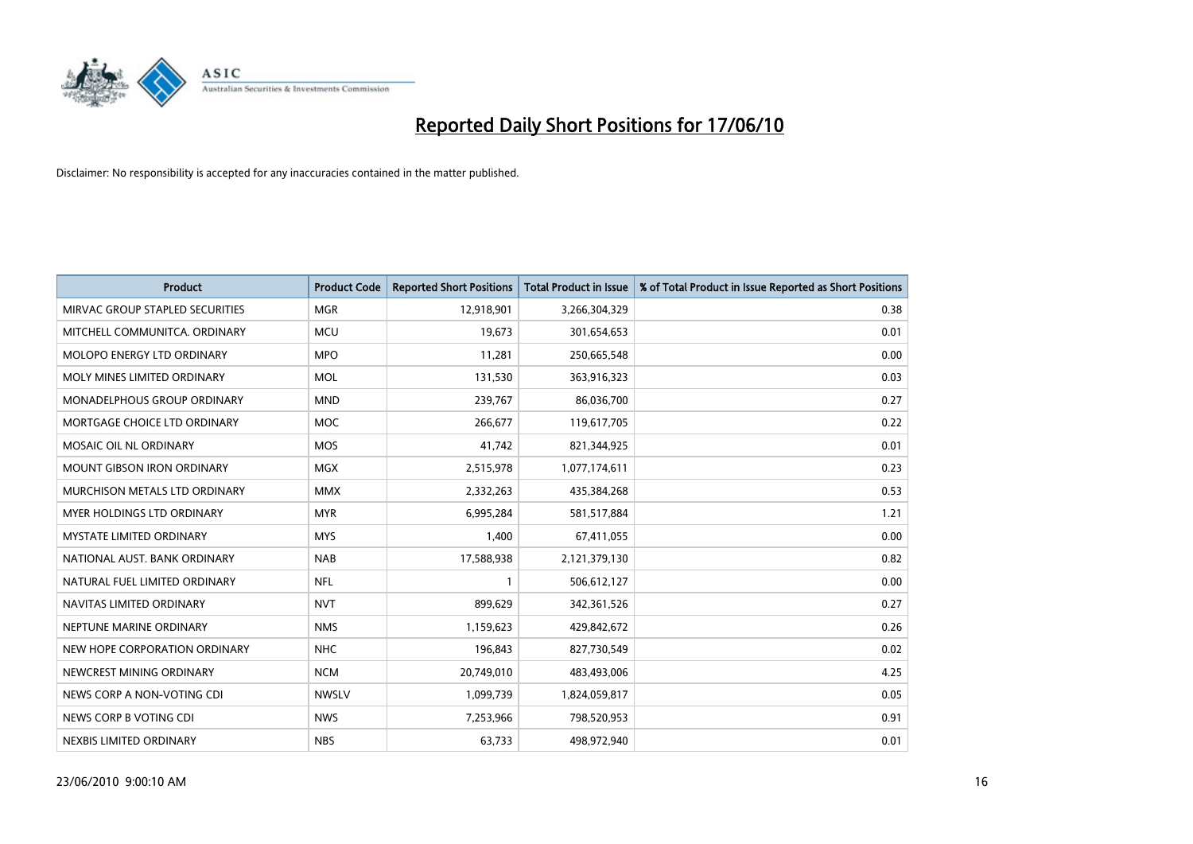

| <b>Product</b>                  | <b>Product Code</b> | <b>Reported Short Positions</b> | <b>Total Product in Issue</b> | % of Total Product in Issue Reported as Short Positions |
|---------------------------------|---------------------|---------------------------------|-------------------------------|---------------------------------------------------------|
| MIRVAC GROUP STAPLED SECURITIES | <b>MGR</b>          | 12,918,901                      | 3,266,304,329                 | 0.38                                                    |
| MITCHELL COMMUNITCA. ORDINARY   | <b>MCU</b>          | 19,673                          | 301,654,653                   | 0.01                                                    |
| MOLOPO ENERGY LTD ORDINARY      | <b>MPO</b>          | 11,281                          | 250,665,548                   | 0.00                                                    |
| MOLY MINES LIMITED ORDINARY     | <b>MOL</b>          | 131,530                         | 363,916,323                   | 0.03                                                    |
| MONADELPHOUS GROUP ORDINARY     | <b>MND</b>          | 239,767                         | 86,036,700                    | 0.27                                                    |
| MORTGAGE CHOICE LTD ORDINARY    | <b>MOC</b>          | 266,677                         | 119,617,705                   | 0.22                                                    |
| MOSAIC OIL NL ORDINARY          | <b>MOS</b>          | 41,742                          | 821,344,925                   | 0.01                                                    |
| MOUNT GIBSON IRON ORDINARY      | <b>MGX</b>          | 2,515,978                       | 1,077,174,611                 | 0.23                                                    |
| MURCHISON METALS LTD ORDINARY   | <b>MMX</b>          | 2,332,263                       | 435,384,268                   | 0.53                                                    |
| MYER HOLDINGS LTD ORDINARY      | <b>MYR</b>          | 6,995,284                       | 581,517,884                   | 1.21                                                    |
| <b>MYSTATE LIMITED ORDINARY</b> | <b>MYS</b>          | 1,400                           | 67,411,055                    | 0.00                                                    |
| NATIONAL AUST. BANK ORDINARY    | <b>NAB</b>          | 17,588,938                      | 2,121,379,130                 | 0.82                                                    |
| NATURAL FUEL LIMITED ORDINARY   | <b>NFL</b>          |                                 | 506,612,127                   | 0.00                                                    |
| NAVITAS LIMITED ORDINARY        | <b>NVT</b>          | 899,629                         | 342,361,526                   | 0.27                                                    |
| NEPTUNE MARINE ORDINARY         | <b>NMS</b>          | 1,159,623                       | 429,842,672                   | 0.26                                                    |
| NEW HOPE CORPORATION ORDINARY   | <b>NHC</b>          | 196,843                         | 827,730,549                   | 0.02                                                    |
| NEWCREST MINING ORDINARY        | <b>NCM</b>          | 20,749,010                      | 483,493,006                   | 4.25                                                    |
| NEWS CORP A NON-VOTING CDI      | <b>NWSLV</b>        | 1,099,739                       | 1,824,059,817                 | 0.05                                                    |
| NEWS CORP B VOTING CDI          | <b>NWS</b>          | 7,253,966                       | 798,520,953                   | 0.91                                                    |
| NEXBIS LIMITED ORDINARY         | <b>NBS</b>          | 63,733                          | 498,972,940                   | 0.01                                                    |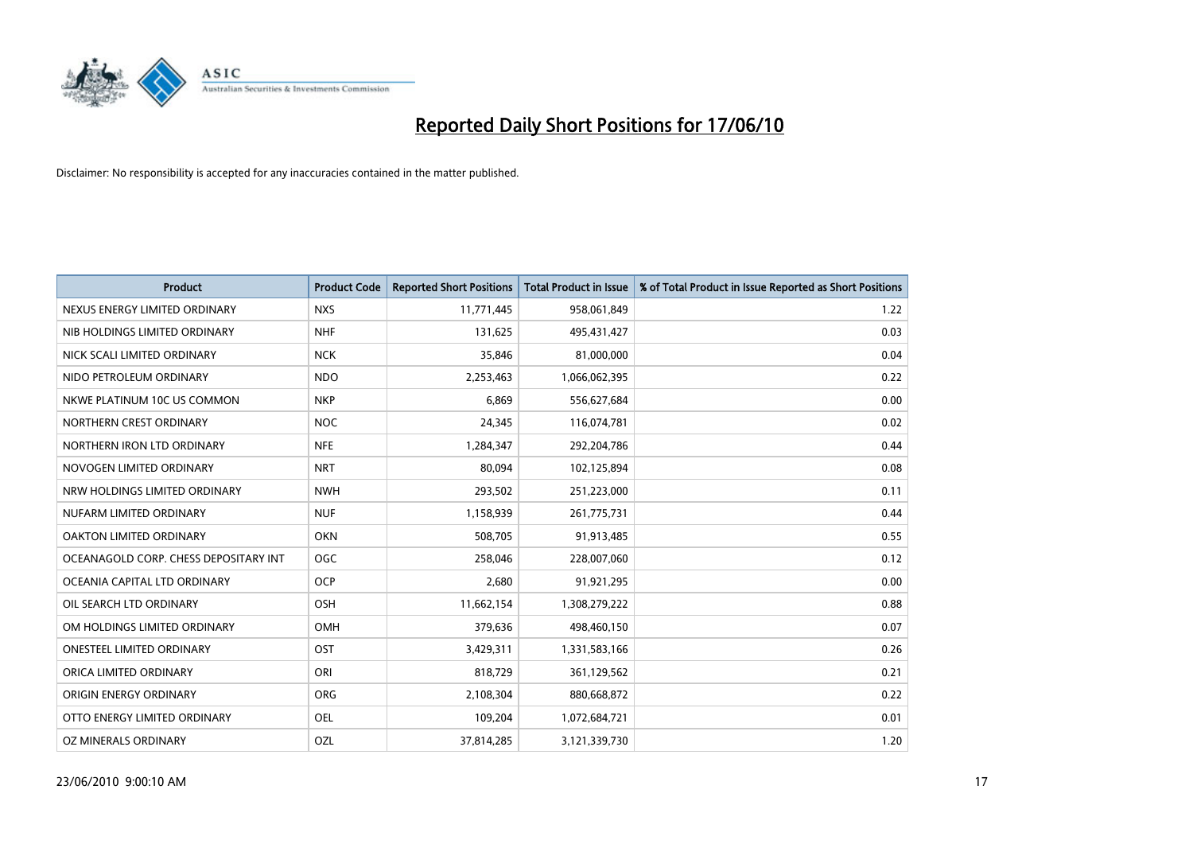

| <b>Product</b>                        | <b>Product Code</b> | <b>Reported Short Positions</b> | <b>Total Product in Issue</b> | % of Total Product in Issue Reported as Short Positions |
|---------------------------------------|---------------------|---------------------------------|-------------------------------|---------------------------------------------------------|
| NEXUS ENERGY LIMITED ORDINARY         | <b>NXS</b>          | 11,771,445                      | 958,061,849                   | 1.22                                                    |
| NIB HOLDINGS LIMITED ORDINARY         | <b>NHF</b>          | 131,625                         | 495,431,427                   | 0.03                                                    |
| NICK SCALI LIMITED ORDINARY           | <b>NCK</b>          | 35,846                          | 81,000,000                    | 0.04                                                    |
| NIDO PETROLEUM ORDINARY               | <b>NDO</b>          | 2,253,463                       | 1,066,062,395                 | 0.22                                                    |
| NKWE PLATINUM 10C US COMMON           | <b>NKP</b>          | 6,869                           | 556,627,684                   | 0.00                                                    |
| NORTHERN CREST ORDINARY               | <b>NOC</b>          | 24,345                          | 116,074,781                   | 0.02                                                    |
| NORTHERN IRON LTD ORDINARY            | <b>NFE</b>          | 1,284,347                       | 292,204,786                   | 0.44                                                    |
| NOVOGEN LIMITED ORDINARY              | <b>NRT</b>          | 80,094                          | 102,125,894                   | 0.08                                                    |
| NRW HOLDINGS LIMITED ORDINARY         | <b>NWH</b>          | 293,502                         | 251,223,000                   | 0.11                                                    |
| NUFARM LIMITED ORDINARY               | <b>NUF</b>          | 1,158,939                       | 261,775,731                   | 0.44                                                    |
| OAKTON LIMITED ORDINARY               | <b>OKN</b>          | 508,705                         | 91,913,485                    | 0.55                                                    |
| OCEANAGOLD CORP. CHESS DEPOSITARY INT | OGC                 | 258,046                         | 228,007,060                   | 0.12                                                    |
| OCEANIA CAPITAL LTD ORDINARY          | <b>OCP</b>          | 2,680                           | 91,921,295                    | 0.00                                                    |
| OIL SEARCH LTD ORDINARY               | OSH                 | 11,662,154                      | 1,308,279,222                 | 0.88                                                    |
| OM HOLDINGS LIMITED ORDINARY          | <b>OMH</b>          | 379,636                         | 498,460,150                   | 0.07                                                    |
| <b>ONESTEEL LIMITED ORDINARY</b>      | OST                 | 3,429,311                       | 1,331,583,166                 | 0.26                                                    |
| ORICA LIMITED ORDINARY                | ORI                 | 818,729                         | 361,129,562                   | 0.21                                                    |
| ORIGIN ENERGY ORDINARY                | <b>ORG</b>          | 2,108,304                       | 880,668,872                   | 0.22                                                    |
| OTTO ENERGY LIMITED ORDINARY          | <b>OEL</b>          | 109,204                         | 1,072,684,721                 | 0.01                                                    |
| OZ MINERALS ORDINARY                  | OZL                 | 37,814,285                      | 3,121,339,730                 | 1.20                                                    |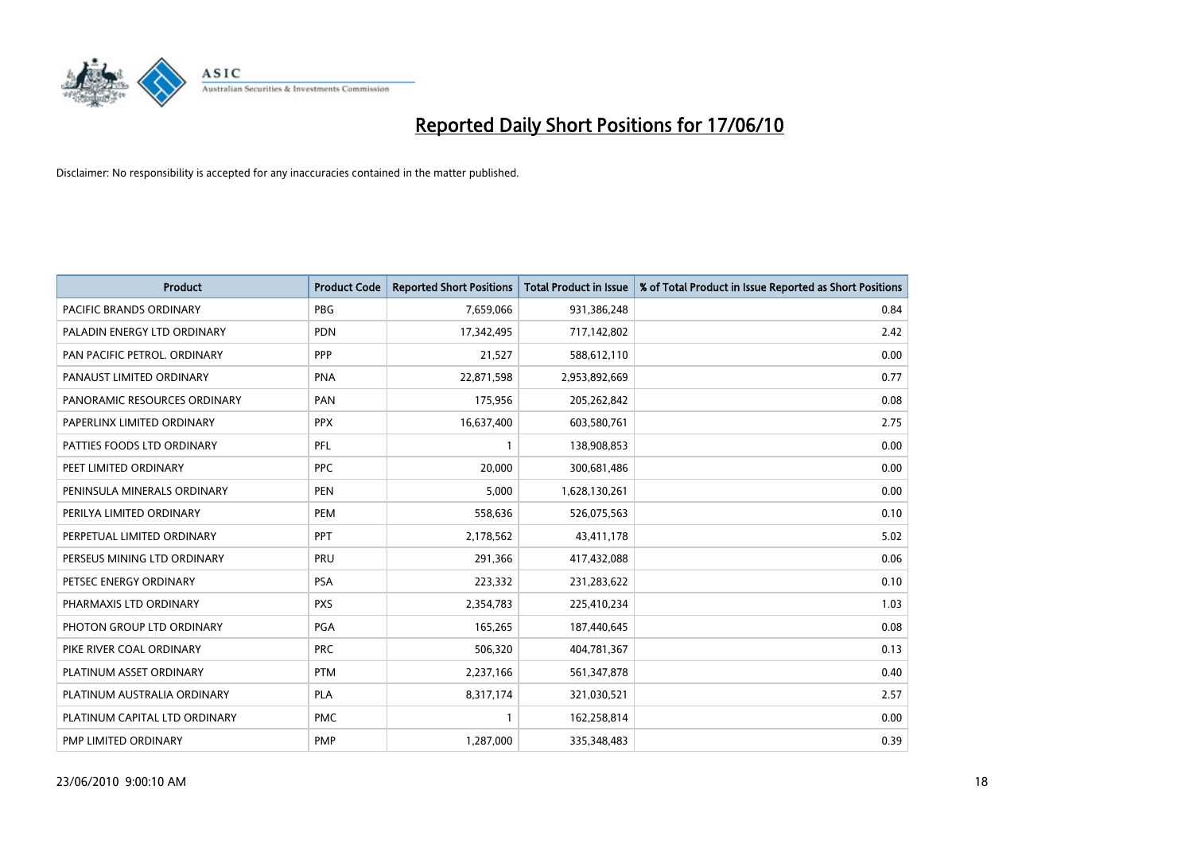

| <b>Product</b>                | <b>Product Code</b> | <b>Reported Short Positions</b> | Total Product in Issue | % of Total Product in Issue Reported as Short Positions |
|-------------------------------|---------------------|---------------------------------|------------------------|---------------------------------------------------------|
| PACIFIC BRANDS ORDINARY       | <b>PBG</b>          | 7,659,066                       | 931,386,248            | 0.84                                                    |
| PALADIN ENERGY LTD ORDINARY   | <b>PDN</b>          | 17,342,495                      | 717,142,802            | 2.42                                                    |
| PAN PACIFIC PETROL. ORDINARY  | PPP                 | 21,527                          | 588,612,110            | 0.00                                                    |
| PANAUST LIMITED ORDINARY      | <b>PNA</b>          | 22,871,598                      | 2,953,892,669          | 0.77                                                    |
| PANORAMIC RESOURCES ORDINARY  | PAN                 | 175,956                         | 205,262,842            | 0.08                                                    |
| PAPERLINX LIMITED ORDINARY    | <b>PPX</b>          | 16,637,400                      | 603,580,761            | 2.75                                                    |
| PATTIES FOODS LTD ORDINARY    | PFL                 |                                 | 138,908,853            | 0.00                                                    |
| PEET LIMITED ORDINARY         | <b>PPC</b>          | 20,000                          | 300,681,486            | 0.00                                                    |
| PENINSULA MINERALS ORDINARY   | <b>PEN</b>          | 5,000                           | 1,628,130,261          | 0.00                                                    |
| PERILYA LIMITED ORDINARY      | PEM                 | 558,636                         | 526,075,563            | 0.10                                                    |
| PERPETUAL LIMITED ORDINARY    | <b>PPT</b>          | 2,178,562                       | 43,411,178             | 5.02                                                    |
| PERSEUS MINING LTD ORDINARY   | PRU                 | 291,366                         | 417,432,088            | 0.06                                                    |
| PETSEC ENERGY ORDINARY        | <b>PSA</b>          | 223,332                         | 231,283,622            | 0.10                                                    |
| PHARMAXIS LTD ORDINARY        | <b>PXS</b>          | 2,354,783                       | 225,410,234            | 1.03                                                    |
| PHOTON GROUP LTD ORDINARY     | <b>PGA</b>          | 165,265                         | 187,440,645            | 0.08                                                    |
| PIKE RIVER COAL ORDINARY      | <b>PRC</b>          | 506,320                         | 404,781,367            | 0.13                                                    |
| PLATINUM ASSET ORDINARY       | <b>PTM</b>          | 2,237,166                       | 561,347,878            | 0.40                                                    |
| PLATINUM AUSTRALIA ORDINARY   | <b>PLA</b>          | 8,317,174                       | 321,030,521            | 2.57                                                    |
| PLATINUM CAPITAL LTD ORDINARY | <b>PMC</b>          |                                 | 162,258,814            | 0.00                                                    |
| PMP LIMITED ORDINARY          | <b>PMP</b>          | 1,287,000                       | 335,348,483            | 0.39                                                    |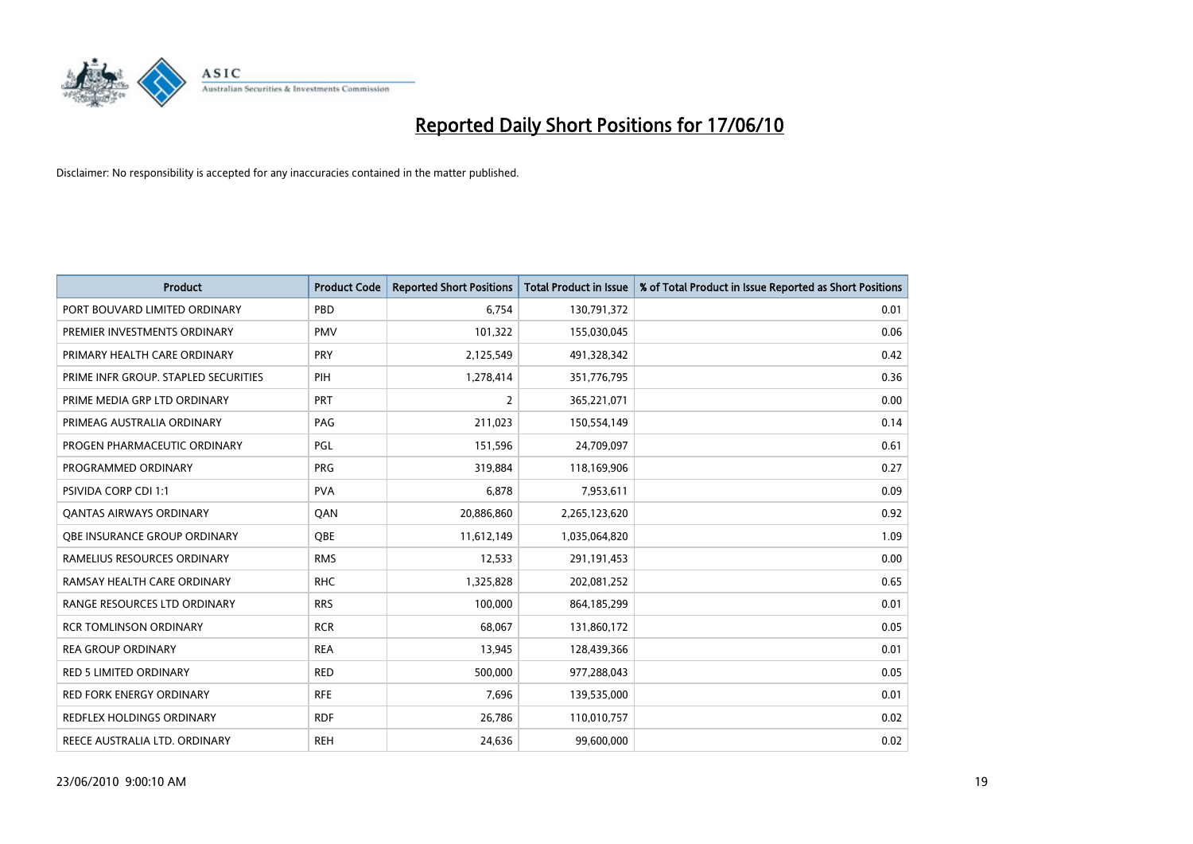

| <b>Product</b>                       | <b>Product Code</b> | <b>Reported Short Positions</b> | Total Product in Issue | % of Total Product in Issue Reported as Short Positions |
|--------------------------------------|---------------------|---------------------------------|------------------------|---------------------------------------------------------|
| PORT BOUVARD LIMITED ORDINARY        | PBD                 | 6,754                           | 130,791,372            | 0.01                                                    |
| PREMIER INVESTMENTS ORDINARY         | <b>PMV</b>          | 101,322                         | 155,030,045            | 0.06                                                    |
| PRIMARY HEALTH CARE ORDINARY         | PRY                 | 2,125,549                       | 491,328,342            | 0.42                                                    |
| PRIME INFR GROUP. STAPLED SECURITIES | PIH                 | 1,278,414                       | 351,776,795            | 0.36                                                    |
| PRIME MEDIA GRP LTD ORDINARY         | <b>PRT</b>          | $\overline{2}$                  | 365,221,071            | 0.00                                                    |
| PRIMEAG AUSTRALIA ORDINARY           | PAG                 | 211,023                         | 150,554,149            | 0.14                                                    |
| PROGEN PHARMACEUTIC ORDINARY         | PGL                 | 151,596                         | 24,709,097             | 0.61                                                    |
| PROGRAMMED ORDINARY                  | <b>PRG</b>          | 319,884                         | 118,169,906            | 0.27                                                    |
| <b>PSIVIDA CORP CDI 1:1</b>          | <b>PVA</b>          | 6,878                           | 7,953,611              | 0.09                                                    |
| <b>QANTAS AIRWAYS ORDINARY</b>       | QAN                 | 20,886,860                      | 2,265,123,620          | 0.92                                                    |
| <b>OBE INSURANCE GROUP ORDINARY</b>  | OBE                 | 11,612,149                      | 1,035,064,820          | 1.09                                                    |
| RAMELIUS RESOURCES ORDINARY          | <b>RMS</b>          | 12,533                          | 291,191,453            | 0.00                                                    |
| RAMSAY HEALTH CARE ORDINARY          | <b>RHC</b>          | 1,325,828                       | 202,081,252            | 0.65                                                    |
| RANGE RESOURCES LTD ORDINARY         | <b>RRS</b>          | 100,000                         | 864,185,299            | 0.01                                                    |
| <b>RCR TOMLINSON ORDINARY</b>        | <b>RCR</b>          | 68,067                          | 131,860,172            | 0.05                                                    |
| <b>REA GROUP ORDINARY</b>            | <b>REA</b>          | 13,945                          | 128,439,366            | 0.01                                                    |
| RED 5 LIMITED ORDINARY               | <b>RED</b>          | 500,000                         | 977,288,043            | 0.05                                                    |
| RED FORK ENERGY ORDINARY             | <b>RFE</b>          | 7,696                           | 139,535,000            | 0.01                                                    |
| <b>REDFLEX HOLDINGS ORDINARY</b>     | <b>RDF</b>          | 26,786                          | 110,010,757            | 0.02                                                    |
| REECE AUSTRALIA LTD. ORDINARY        | <b>REH</b>          | 24,636                          | 99,600,000             | 0.02                                                    |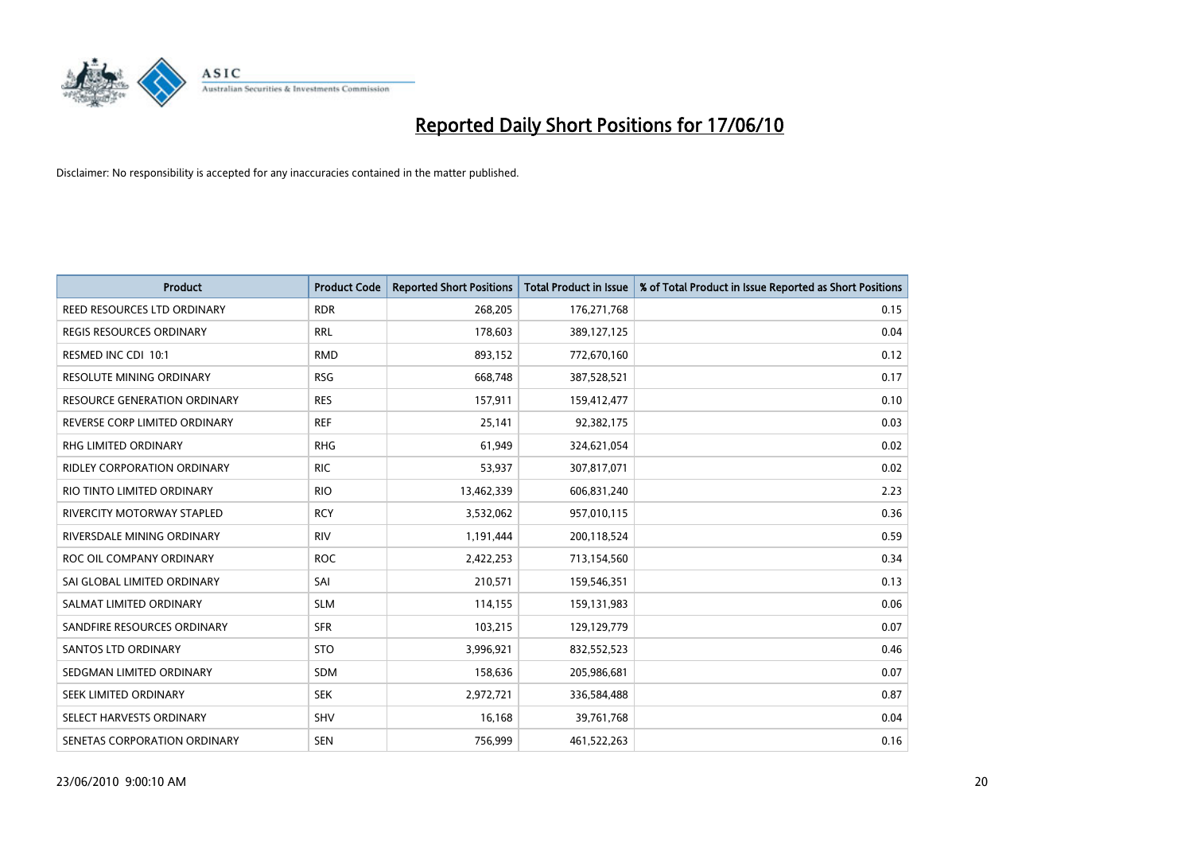

| <b>Product</b>                      | <b>Product Code</b> | <b>Reported Short Positions</b> | <b>Total Product in Issue</b> | % of Total Product in Issue Reported as Short Positions |
|-------------------------------------|---------------------|---------------------------------|-------------------------------|---------------------------------------------------------|
| <b>REED RESOURCES LTD ORDINARY</b>  | <b>RDR</b>          | 268,205                         | 176,271,768                   | 0.15                                                    |
| <b>REGIS RESOURCES ORDINARY</b>     | <b>RRL</b>          | 178,603                         | 389,127,125                   | 0.04                                                    |
| RESMED INC CDI 10:1                 | <b>RMD</b>          | 893,152                         | 772,670,160                   | 0.12                                                    |
| RESOLUTE MINING ORDINARY            | <b>RSG</b>          | 668,748                         | 387,528,521                   | 0.17                                                    |
| <b>RESOURCE GENERATION ORDINARY</b> | <b>RES</b>          | 157,911                         | 159,412,477                   | 0.10                                                    |
| REVERSE CORP LIMITED ORDINARY       | <b>REF</b>          | 25,141                          | 92,382,175                    | 0.03                                                    |
| RHG LIMITED ORDINARY                | <b>RHG</b>          | 61,949                          | 324,621,054                   | 0.02                                                    |
| <b>RIDLEY CORPORATION ORDINARY</b>  | <b>RIC</b>          | 53,937                          | 307,817,071                   | 0.02                                                    |
| RIO TINTO LIMITED ORDINARY          | <b>RIO</b>          | 13,462,339                      | 606,831,240                   | 2.23                                                    |
| <b>RIVERCITY MOTORWAY STAPLED</b>   | <b>RCY</b>          | 3,532,062                       | 957,010,115                   | 0.36                                                    |
| RIVERSDALE MINING ORDINARY          | <b>RIV</b>          | 1,191,444                       | 200,118,524                   | 0.59                                                    |
| ROC OIL COMPANY ORDINARY            | <b>ROC</b>          | 2,422,253                       | 713,154,560                   | 0.34                                                    |
| SAI GLOBAL LIMITED ORDINARY         | SAI                 | 210,571                         | 159,546,351                   | 0.13                                                    |
| SALMAT LIMITED ORDINARY             | <b>SLM</b>          | 114,155                         | 159,131,983                   | 0.06                                                    |
| SANDFIRE RESOURCES ORDINARY         | <b>SFR</b>          | 103,215                         | 129,129,779                   | 0.07                                                    |
| SANTOS LTD ORDINARY                 | <b>STO</b>          | 3,996,921                       | 832,552,523                   | 0.46                                                    |
| SEDGMAN LIMITED ORDINARY            | <b>SDM</b>          | 158,636                         | 205,986,681                   | 0.07                                                    |
| SEEK LIMITED ORDINARY               | <b>SEK</b>          | 2,972,721                       | 336,584,488                   | 0.87                                                    |
| SELECT HARVESTS ORDINARY            | <b>SHV</b>          | 16,168                          | 39,761,768                    | 0.04                                                    |
| SENETAS CORPORATION ORDINARY        | <b>SEN</b>          | 756,999                         | 461,522,263                   | 0.16                                                    |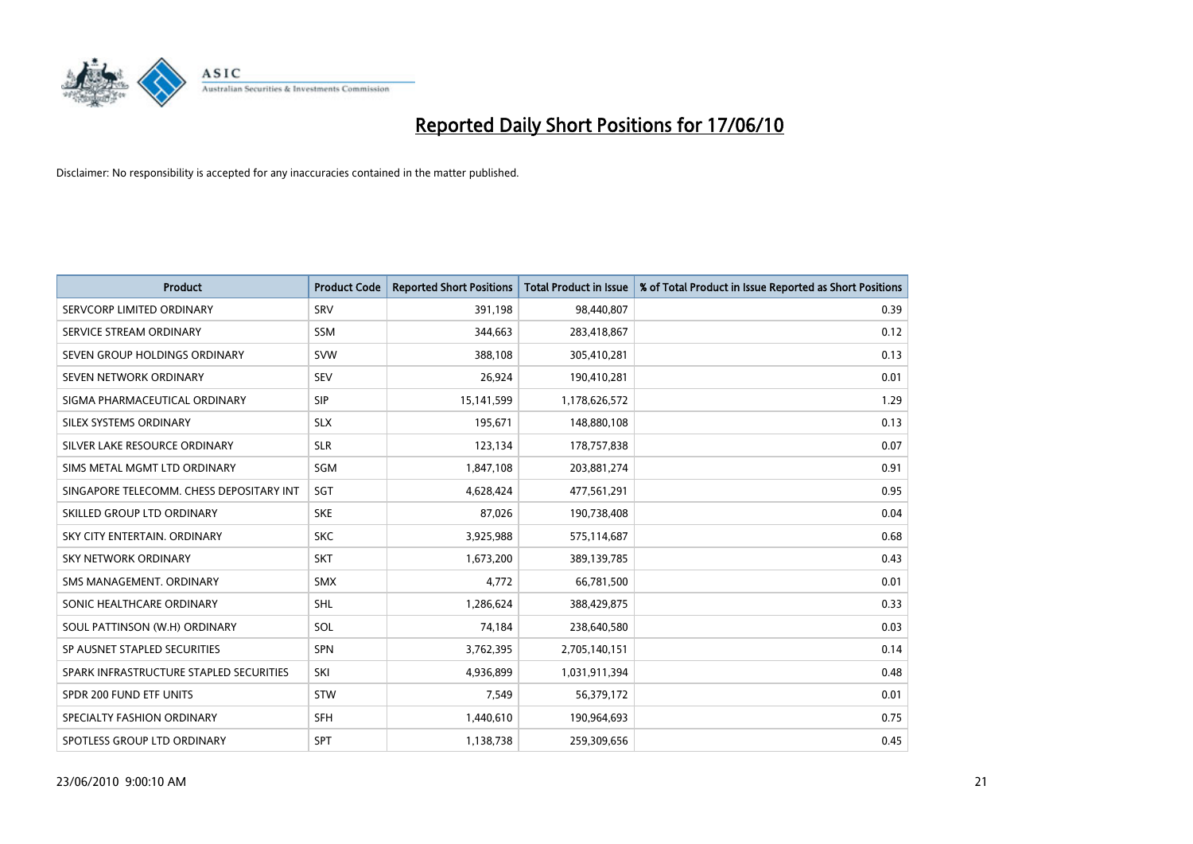

| <b>Product</b>                           | <b>Product Code</b> | <b>Reported Short Positions</b> | Total Product in Issue | % of Total Product in Issue Reported as Short Positions |
|------------------------------------------|---------------------|---------------------------------|------------------------|---------------------------------------------------------|
| SERVCORP LIMITED ORDINARY                | SRV                 | 391,198                         | 98,440,807             | 0.39                                                    |
| SERVICE STREAM ORDINARY                  | <b>SSM</b>          | 344,663                         | 283,418,867            | 0.12                                                    |
| SEVEN GROUP HOLDINGS ORDINARY            | <b>SVW</b>          | 388,108                         | 305,410,281            | 0.13                                                    |
| SEVEN NETWORK ORDINARY                   | <b>SEV</b>          | 26,924                          | 190,410,281            | 0.01                                                    |
| SIGMA PHARMACEUTICAL ORDINARY            | <b>SIP</b>          | 15,141,599                      | 1,178,626,572          | 1.29                                                    |
| SILEX SYSTEMS ORDINARY                   | <b>SLX</b>          | 195,671                         | 148,880,108            | 0.13                                                    |
| SILVER LAKE RESOURCE ORDINARY            | <b>SLR</b>          | 123,134                         | 178,757,838            | 0.07                                                    |
| SIMS METAL MGMT LTD ORDINARY             | SGM                 | 1,847,108                       | 203,881,274            | 0.91                                                    |
| SINGAPORE TELECOMM. CHESS DEPOSITARY INT | SGT                 | 4,628,424                       | 477,561,291            | 0.95                                                    |
| SKILLED GROUP LTD ORDINARY               | <b>SKE</b>          | 87,026                          | 190,738,408            | 0.04                                                    |
| SKY CITY ENTERTAIN. ORDINARY             | <b>SKC</b>          | 3,925,988                       | 575,114,687            | 0.68                                                    |
| <b>SKY NETWORK ORDINARY</b>              | <b>SKT</b>          | 1,673,200                       | 389,139,785            | 0.43                                                    |
| SMS MANAGEMENT. ORDINARY                 | <b>SMX</b>          | 4,772                           | 66,781,500             | 0.01                                                    |
| SONIC HEALTHCARE ORDINARY                | <b>SHL</b>          | 1,286,624                       | 388,429,875            | 0.33                                                    |
| SOUL PATTINSON (W.H) ORDINARY            | SOL                 | 74,184                          | 238,640,580            | 0.03                                                    |
| SP AUSNET STAPLED SECURITIES             | <b>SPN</b>          | 3,762,395                       | 2,705,140,151          | 0.14                                                    |
| SPARK INFRASTRUCTURE STAPLED SECURITIES  | SKI                 | 4,936,899                       | 1,031,911,394          | 0.48                                                    |
| SPDR 200 FUND ETF UNITS                  | <b>STW</b>          | 7,549                           | 56,379,172             | 0.01                                                    |
| SPECIALTY FASHION ORDINARY               | <b>SFH</b>          | 1,440,610                       | 190,964,693            | 0.75                                                    |
| SPOTLESS GROUP LTD ORDINARY              | <b>SPT</b>          | 1,138,738                       | 259,309,656            | 0.45                                                    |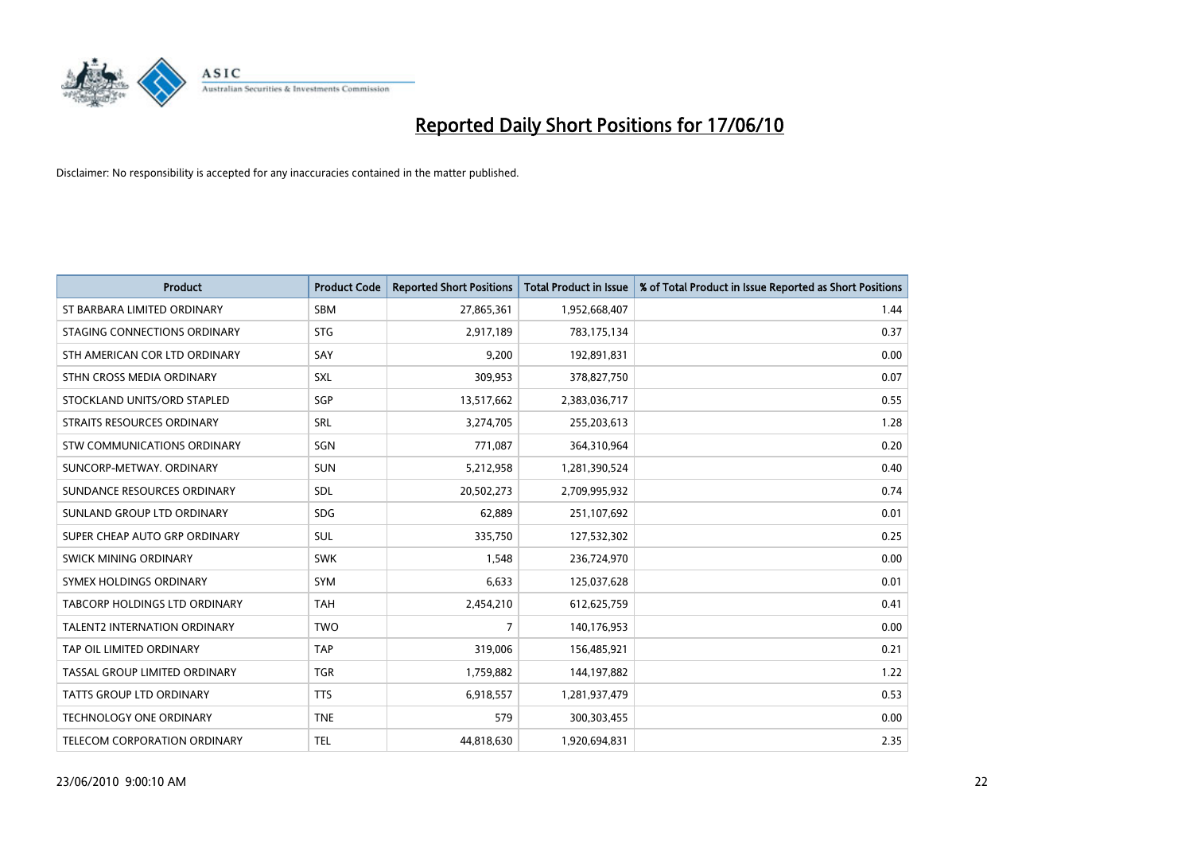

| <b>Product</b>                       | <b>Product Code</b> | <b>Reported Short Positions</b> | <b>Total Product in Issue</b> | % of Total Product in Issue Reported as Short Positions |
|--------------------------------------|---------------------|---------------------------------|-------------------------------|---------------------------------------------------------|
| ST BARBARA LIMITED ORDINARY          | <b>SBM</b>          | 27,865,361                      | 1,952,668,407                 | 1.44                                                    |
| STAGING CONNECTIONS ORDINARY         | <b>STG</b>          | 2,917,189                       | 783,175,134                   | 0.37                                                    |
| STH AMERICAN COR LTD ORDINARY        | SAY                 | 9,200                           | 192,891,831                   | 0.00                                                    |
| STHN CROSS MEDIA ORDINARY            | SXL                 | 309,953                         | 378,827,750                   | 0.07                                                    |
| STOCKLAND UNITS/ORD STAPLED          | SGP                 | 13,517,662                      | 2,383,036,717                 | 0.55                                                    |
| STRAITS RESOURCES ORDINARY           | SRL                 | 3,274,705                       | 255,203,613                   | 1.28                                                    |
| STW COMMUNICATIONS ORDINARY          | SGN                 | 771,087                         | 364,310,964                   | 0.20                                                    |
| SUNCORP-METWAY, ORDINARY             | <b>SUN</b>          | 5,212,958                       | 1,281,390,524                 | 0.40                                                    |
| SUNDANCE RESOURCES ORDINARY          | <b>SDL</b>          | 20,502,273                      | 2,709,995,932                 | 0.74                                                    |
| SUNLAND GROUP LTD ORDINARY           | <b>SDG</b>          | 62,889                          | 251,107,692                   | 0.01                                                    |
| SUPER CHEAP AUTO GRP ORDINARY        | <b>SUL</b>          | 335,750                         | 127,532,302                   | 0.25                                                    |
| <b>SWICK MINING ORDINARY</b>         | <b>SWK</b>          | 1,548                           | 236,724,970                   | 0.00                                                    |
| SYMEX HOLDINGS ORDINARY              | <b>SYM</b>          | 6,633                           | 125,037,628                   | 0.01                                                    |
| <b>TABCORP HOLDINGS LTD ORDINARY</b> | <b>TAH</b>          | 2,454,210                       | 612,625,759                   | 0.41                                                    |
| <b>TALENT2 INTERNATION ORDINARY</b>  | <b>TWO</b>          | 7                               | 140,176,953                   | 0.00                                                    |
| TAP OIL LIMITED ORDINARY             | <b>TAP</b>          | 319,006                         | 156,485,921                   | 0.21                                                    |
| TASSAL GROUP LIMITED ORDINARY        | <b>TGR</b>          | 1,759,882                       | 144,197,882                   | 1.22                                                    |
| TATTS GROUP LTD ORDINARY             | <b>TTS</b>          | 6,918,557                       | 1,281,937,479                 | 0.53                                                    |
| <b>TECHNOLOGY ONE ORDINARY</b>       | <b>TNE</b>          | 579                             | 300,303,455                   | 0.00                                                    |
| TELECOM CORPORATION ORDINARY         | <b>TEL</b>          | 44,818,630                      | 1,920,694,831                 | 2.35                                                    |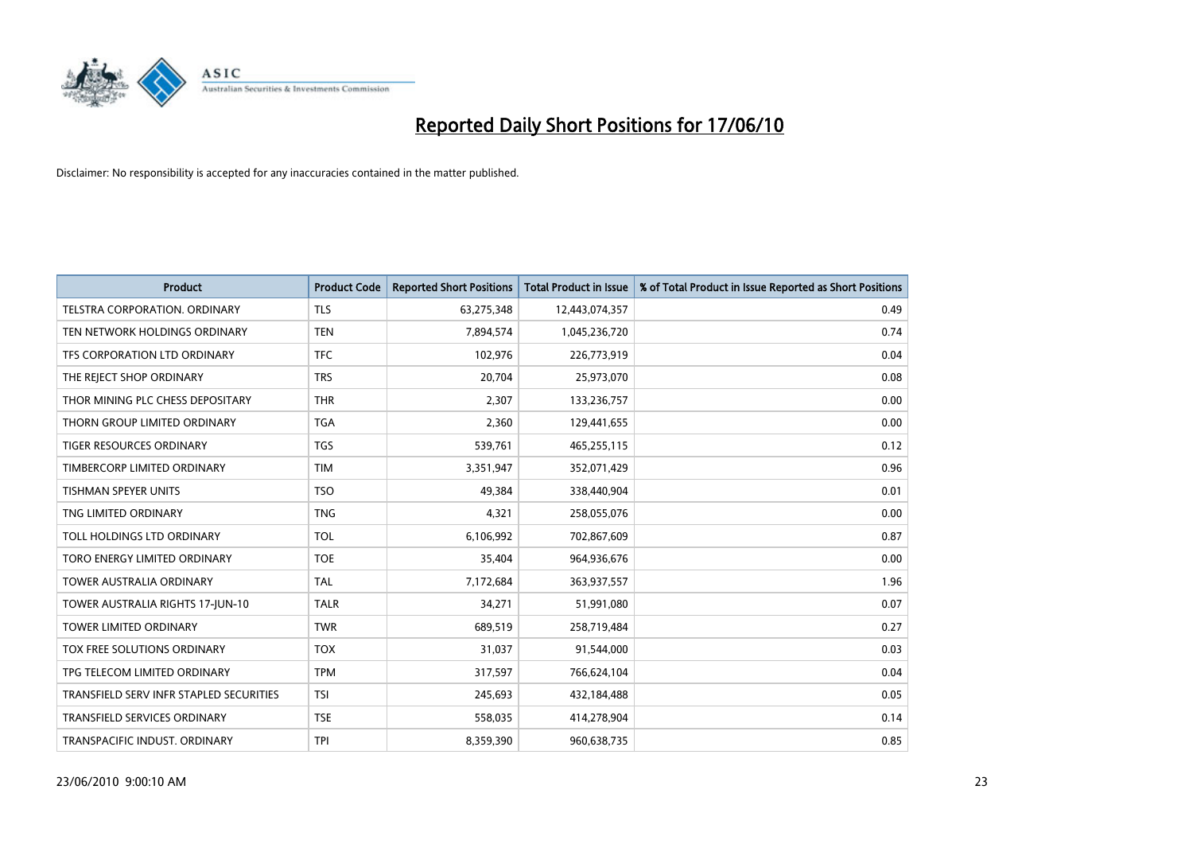

| <b>Product</b>                          | <b>Product Code</b> | <b>Reported Short Positions</b> | <b>Total Product in Issue</b> | % of Total Product in Issue Reported as Short Positions |
|-----------------------------------------|---------------------|---------------------------------|-------------------------------|---------------------------------------------------------|
| TELSTRA CORPORATION, ORDINARY           | <b>TLS</b>          | 63,275,348                      | 12,443,074,357                | 0.49                                                    |
| TEN NETWORK HOLDINGS ORDINARY           | <b>TEN</b>          | 7,894,574                       | 1,045,236,720                 | 0.74                                                    |
| TFS CORPORATION LTD ORDINARY            | <b>TFC</b>          | 102,976                         | 226,773,919                   | 0.04                                                    |
| THE REJECT SHOP ORDINARY                | <b>TRS</b>          | 20,704                          | 25,973,070                    | 0.08                                                    |
| THOR MINING PLC CHESS DEPOSITARY        | <b>THR</b>          | 2,307                           | 133,236,757                   | 0.00                                                    |
| THORN GROUP LIMITED ORDINARY            | <b>TGA</b>          | 2,360                           | 129,441,655                   | 0.00                                                    |
| TIGER RESOURCES ORDINARY                | <b>TGS</b>          | 539,761                         | 465,255,115                   | 0.12                                                    |
| TIMBERCORP LIMITED ORDINARY             | <b>TIM</b>          | 3,351,947                       | 352,071,429                   | 0.96                                                    |
| TISHMAN SPEYER UNITS                    | <b>TSO</b>          | 49,384                          | 338,440,904                   | 0.01                                                    |
| TNG LIMITED ORDINARY                    | <b>TNG</b>          | 4,321                           | 258,055,076                   | 0.00                                                    |
| TOLL HOLDINGS LTD ORDINARY              | <b>TOL</b>          | 6,106,992                       | 702,867,609                   | 0.87                                                    |
| TORO ENERGY LIMITED ORDINARY            | <b>TOE</b>          | 35,404                          | 964,936,676                   | 0.00                                                    |
| <b>TOWER AUSTRALIA ORDINARY</b>         | <b>TAL</b>          | 7,172,684                       | 363,937,557                   | 1.96                                                    |
| TOWER AUSTRALIA RIGHTS 17-JUN-10        | <b>TALR</b>         | 34,271                          | 51,991,080                    | 0.07                                                    |
| <b>TOWER LIMITED ORDINARY</b>           | <b>TWR</b>          | 689,519                         | 258,719,484                   | 0.27                                                    |
| TOX FREE SOLUTIONS ORDINARY             | <b>TOX</b>          | 31,037                          | 91,544,000                    | 0.03                                                    |
| TPG TELECOM LIMITED ORDINARY            | <b>TPM</b>          | 317,597                         | 766,624,104                   | 0.04                                                    |
| TRANSFIELD SERV INFR STAPLED SECURITIES | <b>TSI</b>          | 245,693                         | 432,184,488                   | 0.05                                                    |
| <b>TRANSFIELD SERVICES ORDINARY</b>     | <b>TSE</b>          | 558,035                         | 414,278,904                   | 0.14                                                    |
| TRANSPACIFIC INDUST. ORDINARY           | <b>TPI</b>          | 8,359,390                       | 960,638,735                   | 0.85                                                    |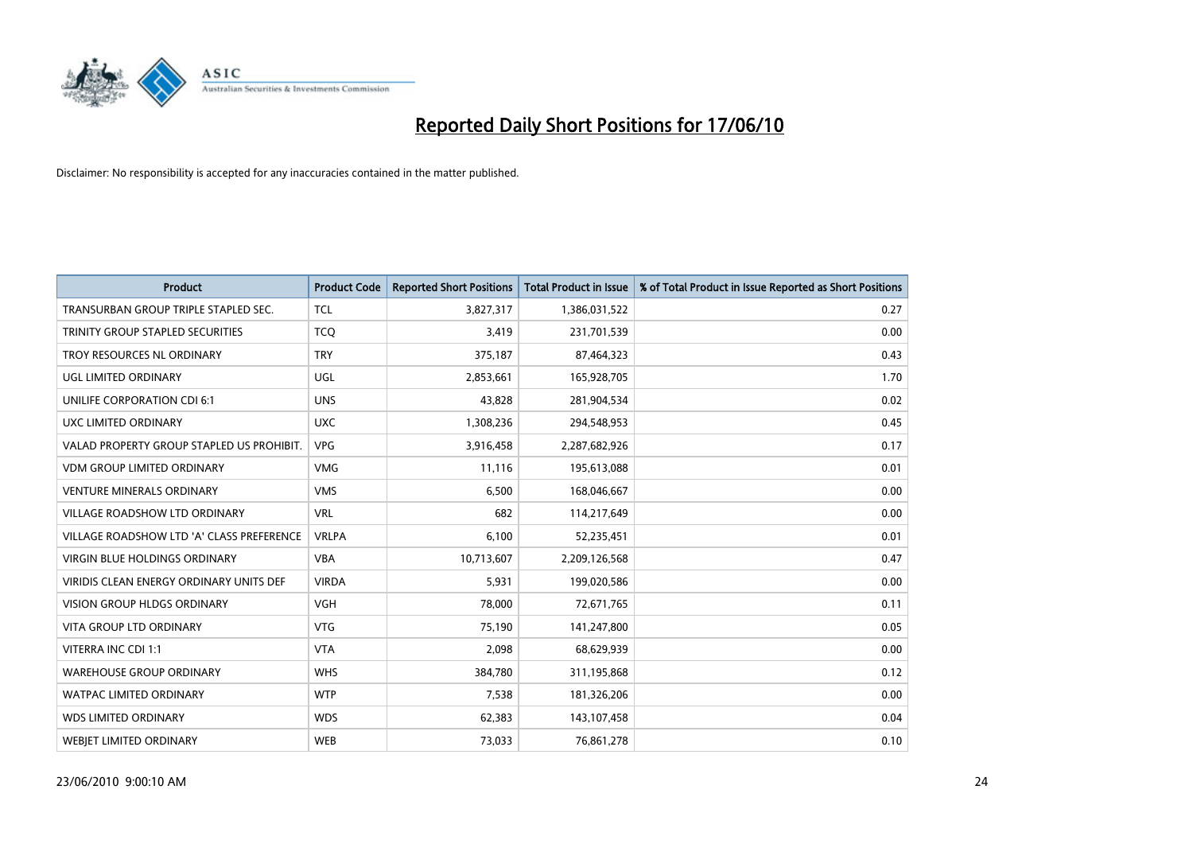

| <b>Product</b>                            | <b>Product Code</b> | <b>Reported Short Positions</b> | <b>Total Product in Issue</b> | % of Total Product in Issue Reported as Short Positions |
|-------------------------------------------|---------------------|---------------------------------|-------------------------------|---------------------------------------------------------|
| TRANSURBAN GROUP TRIPLE STAPLED SEC.      | <b>TCL</b>          | 3,827,317                       | 1,386,031,522                 | 0.27                                                    |
| TRINITY GROUP STAPLED SECURITIES          | <b>TCQ</b>          | 3,419                           | 231,701,539                   | 0.00                                                    |
| TROY RESOURCES NL ORDINARY                | <b>TRY</b>          | 375,187                         | 87,464,323                    | 0.43                                                    |
| UGL LIMITED ORDINARY                      | UGL                 | 2,853,661                       | 165,928,705                   | 1.70                                                    |
| UNILIFE CORPORATION CDI 6:1               | <b>UNS</b>          | 43,828                          | 281,904,534                   | 0.02                                                    |
| UXC LIMITED ORDINARY                      | <b>UXC</b>          | 1,308,236                       | 294,548,953                   | 0.45                                                    |
| VALAD PROPERTY GROUP STAPLED US PROHIBIT. | <b>VPG</b>          | 3,916,458                       | 2,287,682,926                 | 0.17                                                    |
| VDM GROUP LIMITED ORDINARY                | <b>VMG</b>          | 11,116                          | 195,613,088                   | 0.01                                                    |
| <b>VENTURE MINERALS ORDINARY</b>          | <b>VMS</b>          | 6,500                           | 168,046,667                   | 0.00                                                    |
| <b>VILLAGE ROADSHOW LTD ORDINARY</b>      | <b>VRL</b>          | 682                             | 114,217,649                   | 0.00                                                    |
| VILLAGE ROADSHOW LTD 'A' CLASS PREFERENCE | <b>VRLPA</b>        | 6,100                           | 52,235,451                    | 0.01                                                    |
| <b>VIRGIN BLUE HOLDINGS ORDINARY</b>      | <b>VBA</b>          | 10,713,607                      | 2,209,126,568                 | 0.47                                                    |
| VIRIDIS CLEAN ENERGY ORDINARY UNITS DEF   | <b>VIRDA</b>        | 5,931                           | 199,020,586                   | 0.00                                                    |
| <b>VISION GROUP HLDGS ORDINARY</b>        | <b>VGH</b>          | 78,000                          | 72,671,765                    | 0.11                                                    |
| <b>VITA GROUP LTD ORDINARY</b>            | <b>VTG</b>          | 75,190                          | 141,247,800                   | 0.05                                                    |
| VITERRA INC CDI 1:1                       | <b>VTA</b>          | 2,098                           | 68,629,939                    | 0.00                                                    |
| <b>WAREHOUSE GROUP ORDINARY</b>           | <b>WHS</b>          | 384,780                         | 311,195,868                   | 0.12                                                    |
| <b>WATPAC LIMITED ORDINARY</b>            | <b>WTP</b>          | 7,538                           | 181,326,206                   | 0.00                                                    |
| <b>WDS LIMITED ORDINARY</b>               | <b>WDS</b>          | 62,383                          | 143,107,458                   | 0.04                                                    |
| <b>WEBJET LIMITED ORDINARY</b>            | <b>WEB</b>          | 73,033                          | 76,861,278                    | 0.10                                                    |